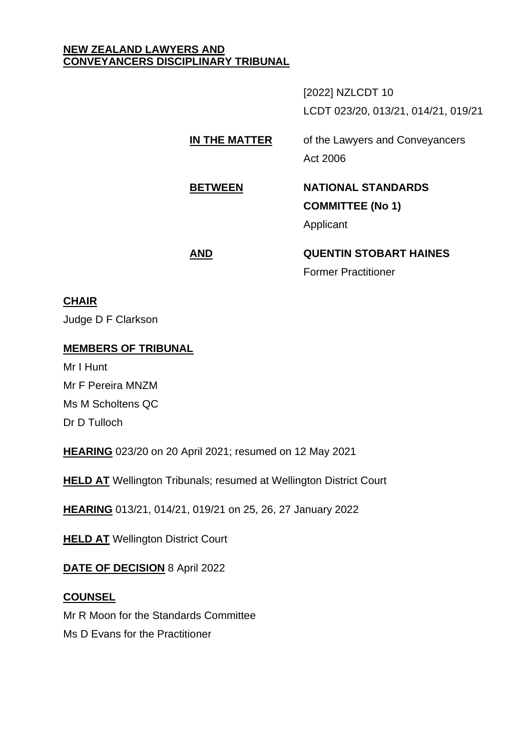### **NEW ZEALAND LAWYERS AND CONVEYANCERS DISCIPLINARY TRIBUNAL**

[2022] NZLCDT 10 LCDT 023/20, 013/21, 014/21, 019/21

**IN THE MATTER** of the Lawyers and Conveyancers Act 2006

**BETWEEN NATIONAL STANDARDS COMMITTEE (No 1)** Applicant

# **AND QUENTIN STOBART HAINES**

Former Practitioner

# **CHAIR**

Judge D F Clarkson

# **MEMBERS OF TRIBUNAL**

Mr I Hunt Mr F Pereira MNZM Ms M Scholtens QC Dr D Tulloch

**HEARING** 023/20 on 20 April 2021; resumed on 12 May 2021

**HELD AT** Wellington Tribunals; resumed at Wellington District Court

**HEARING** 013/21, 014/21, 019/21 on 25, 26, 27 January 2022

**HELD AT** Wellington District Court

**DATE OF DECISION** 8 April 2022

# **COUNSEL**

Mr R Moon for the Standards Committee

Ms D Evans for the Practitioner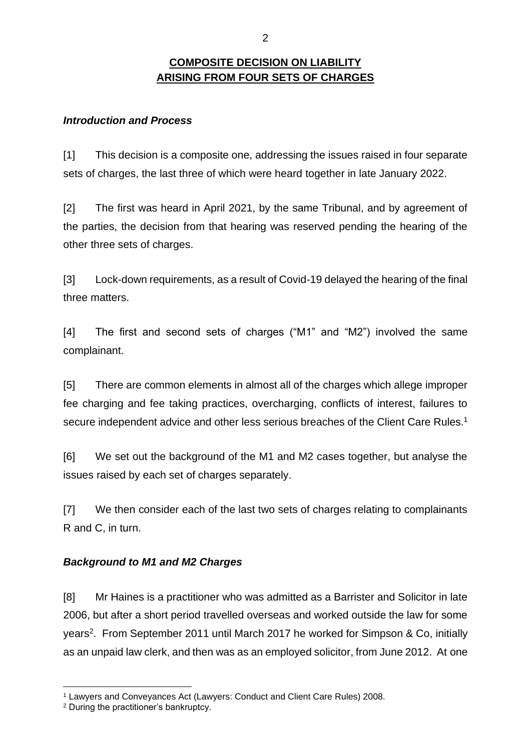# **COMPOSITE DECISION ON LIABILITY ARISING FROM FOUR SETS OF CHARGES**

# *Introduction and Process*

[1] This decision is a composite one, addressing the issues raised in four separate sets of charges, the last three of which were heard together in late January 2022.

[2] The first was heard in April 2021, by the same Tribunal, and by agreement of the parties, the decision from that hearing was reserved pending the hearing of the other three sets of charges.

[3] Lock-down requirements, as a result of Covid-19 delayed the hearing of the final three matters.

[4] The first and second sets of charges ("M1" and "M2") involved the same complainant.

[5] There are common elements in almost all of the charges which allege improper fee charging and fee taking practices, overcharging, conflicts of interest, failures to secure independent advice and other less serious breaches of the Client Care Rules.<sup>1</sup>

[6] We set out the background of the M1 and M2 cases together, but analyse the issues raised by each set of charges separately.

[7] We then consider each of the last two sets of charges relating to complainants R and C, in turn.

# *Background to M1 and M2 Charges*

[8] Mr Haines is a practitioner who was admitted as a Barrister and Solicitor in late 2006, but after a short period travelled overseas and worked outside the law for some years<sup>2</sup>. From September 2011 until March 2017 he worked for Simpson & Co, initially as an unpaid law clerk, and then was as an employed solicitor, from June 2012. At one

<sup>1</sup> Lawyers and Conveyances Act (Lawyers: Conduct and Client Care Rules) 2008.

<sup>2</sup> During the practitioner's bankruptcy.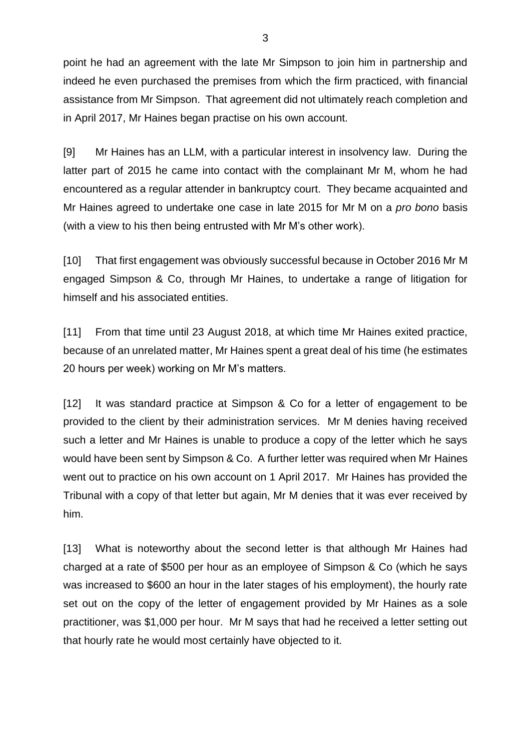point he had an agreement with the late Mr Simpson to join him in partnership and indeed he even purchased the premises from which the firm practiced, with financial assistance from Mr Simpson. That agreement did not ultimately reach completion and in April 2017, Mr Haines began practise on his own account.

[9] Mr Haines has an LLM, with a particular interest in insolvency law. During the latter part of 2015 he came into contact with the complainant Mr M, whom he had encountered as a regular attender in bankruptcy court. They became acquainted and Mr Haines agreed to undertake one case in late 2015 for Mr M on a *pro bono* basis (with a view to his then being entrusted with Mr M's other work).

[10] That first engagement was obviously successful because in October 2016 Mr M engaged Simpson & Co, through Mr Haines, to undertake a range of litigation for himself and his associated entities.

[11] From that time until 23 August 2018, at which time Mr Haines exited practice, because of an unrelated matter, Mr Haines spent a great deal of his time (he estimates 20 hours per week) working on Mr M's matters.

[12] It was standard practice at Simpson & Co for a letter of engagement to be provided to the client by their administration services. Mr M denies having received such a letter and Mr Haines is unable to produce a copy of the letter which he says would have been sent by Simpson & Co. A further letter was required when Mr Haines went out to practice on his own account on 1 April 2017. Mr Haines has provided the Tribunal with a copy of that letter but again, Mr M denies that it was ever received by him.

[13] What is noteworthy about the second letter is that although Mr Haines had charged at a rate of \$500 per hour as an employee of Simpson & Co (which he says was increased to \$600 an hour in the later stages of his employment), the hourly rate set out on the copy of the letter of engagement provided by Mr Haines as a sole practitioner, was \$1,000 per hour. Mr M says that had he received a letter setting out that hourly rate he would most certainly have objected to it.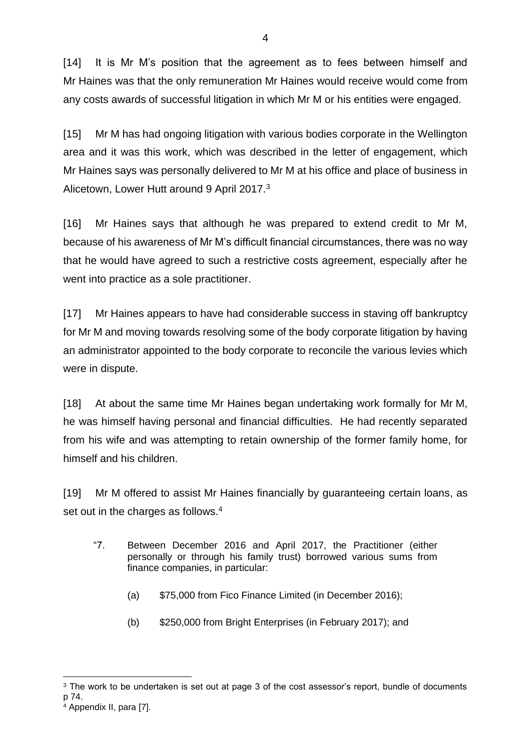[14] It is Mr M's position that the agreement as to fees between himself and Mr Haines was that the only remuneration Mr Haines would receive would come from any costs awards of successful litigation in which Mr M or his entities were engaged.

[15] Mr M has had ongoing litigation with various bodies corporate in the Wellington area and it was this work, which was described in the letter of engagement, which Mr Haines says was personally delivered to Mr M at his office and place of business in Alicetown, Lower Hutt around 9 April 2017.<sup>3</sup>

[16] Mr Haines says that although he was prepared to extend credit to Mr M, because of his awareness of Mr M's difficult financial circumstances, there was no way that he would have agreed to such a restrictive costs agreement, especially after he went into practice as a sole practitioner.

[17] Mr Haines appears to have had considerable success in staving off bankruptcy for Mr M and moving towards resolving some of the body corporate litigation by having an administrator appointed to the body corporate to reconcile the various levies which were in dispute.

[18] At about the same time Mr Haines began undertaking work formally for Mr M, he was himself having personal and financial difficulties. He had recently separated from his wife and was attempting to retain ownership of the former family home, for himself and his children.

[19] Mr M offered to assist Mr Haines financially by guaranteeing certain loans, as set out in the charges as follows.<sup>4</sup>

- "7. Between December 2016 and April 2017, the Practitioner (either personally or through his family trust) borrowed various sums from finance companies, in particular:
	- (a) \$75,000 from Fico Finance Limited (in December 2016);
	- (b) \$250,000 from Bright Enterprises (in February 2017); and

<sup>&</sup>lt;sup>3</sup> The work to be undertaken is set out at page 3 of the cost assessor's report, bundle of documents p 74.

 $4$  Appendix II, para [7].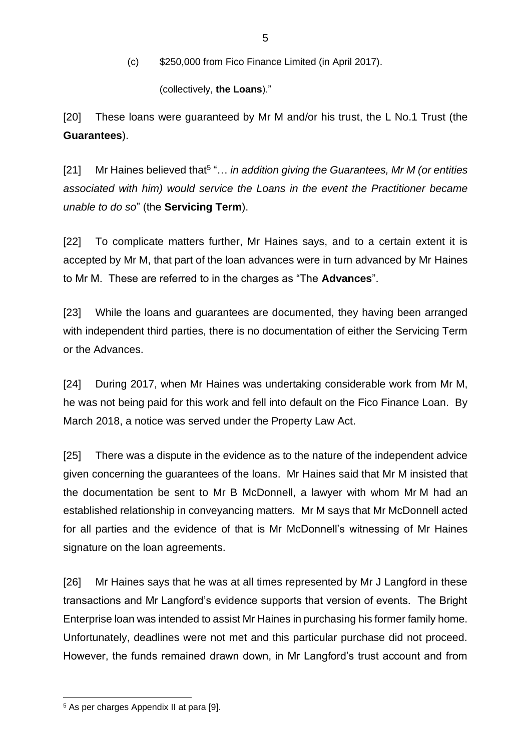(c) \$250,000 from Fico Finance Limited (in April 2017).

(collectively, **the Loans**)."

[20] These loans were guaranteed by Mr M and/or his trust, the L No.1 Trust (the **Guarantees**).

[21] Mr Haines believed that<sup>5</sup> "... in addition giving the Guarantees, Mr M (or entities *associated with him) would service the Loans in the event the Practitioner became unable to do so*" (the **Servicing Term**).

[22] To complicate matters further, Mr Haines says, and to a certain extent it is accepted by Mr M, that part of the loan advances were in turn advanced by Mr Haines to Mr M. These are referred to in the charges as "The **Advances**".

[23] While the loans and guarantees are documented, they having been arranged with independent third parties, there is no documentation of either the Servicing Term or the Advances.

[24] During 2017, when Mr Haines was undertaking considerable work from Mr M, he was not being paid for this work and fell into default on the Fico Finance Loan. By March 2018, a notice was served under the Property Law Act.

[25] There was a dispute in the evidence as to the nature of the independent advice given concerning the guarantees of the loans. Mr Haines said that Mr M insisted that the documentation be sent to Mr B McDonnell, a lawyer with whom Mr M had an established relationship in conveyancing matters. Mr M says that Mr McDonnell acted for all parties and the evidence of that is Mr McDonnell's witnessing of Mr Haines signature on the loan agreements.

[26] Mr Haines says that he was at all times represented by Mr J Langford in these transactions and Mr Langford's evidence supports that version of events. The Bright Enterprise loan was intended to assist Mr Haines in purchasing his former family home. Unfortunately, deadlines were not met and this particular purchase did not proceed. However, the funds remained drawn down, in Mr Langford's trust account and from

<sup>5</sup> As per charges Appendix II at para [9].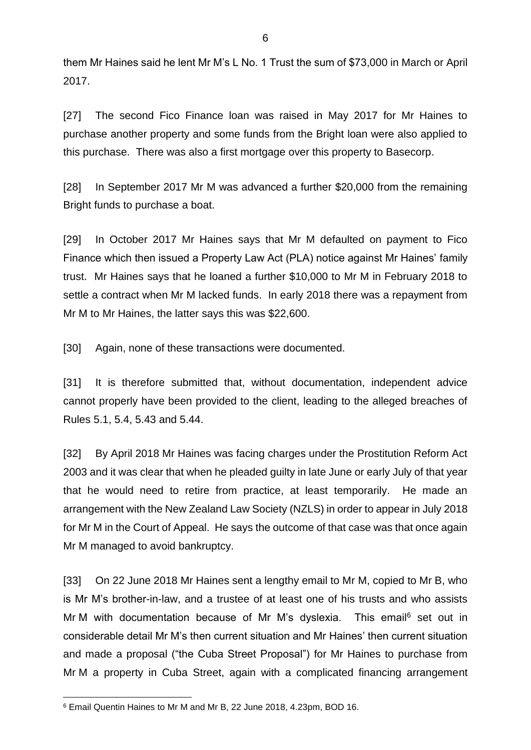them Mr Haines said he lent Mr M's L No. 1 Trust the sum of \$73,000 in March or April 2017.

[27] The second Fico Finance loan was raised in May 2017 for Mr Haines to purchase another property and some funds from the Bright loan were also applied to this purchase. There was also a first mortgage over this property to Basecorp.

[28] In September 2017 Mr M was advanced a further \$20,000 from the remaining Bright funds to purchase a boat.

[29] In October 2017 Mr Haines says that Mr M defaulted on payment to Fico Finance which then issued a Property Law Act (PLA) notice against Mr Haines' family trust. Mr Haines says that he loaned a further \$10,000 to Mr M in February 2018 to settle a contract when Mr M lacked funds. In early 2018 there was a repayment from Mr M to Mr Haines, the latter says this was \$22,600.

[30] Again, none of these transactions were documented.

[31] It is therefore submitted that, without documentation, independent advice cannot properly have been provided to the client, leading to the alleged breaches of Rules 5.1, 5.4, 5.43 and 5.44.

[32] By April 2018 Mr Haines was facing charges under the Prostitution Reform Act 2003 and it was clear that when he pleaded guilty in late June or early July of that year that he would need to retire from practice, at least temporarily. He made an arrangement with the New Zealand Law Society (NZLS) in order to appear in July 2018 for Mr M in the Court of Appeal. He says the outcome of that case was that once again Mr M managed to avoid bankruptcy.

[33] On 22 June 2018 Mr Haines sent a lengthy email to Mr M, copied to Mr B, who is Mr M's brother-in-law, and a trustee of at least one of his trusts and who assists Mr M with documentation because of Mr M's dyslexia. This email<sup>6</sup> set out in considerable detail Mr M's then current situation and Mr Haines' then current situation and made a proposal ("the Cuba Street Proposal") for Mr Haines to purchase from Mr M a property in Cuba Street, again with a complicated financing arrangement

<sup>6</sup> Email Quentin Haines to Mr M and Mr B, 22 June 2018, 4.23pm, BOD 16.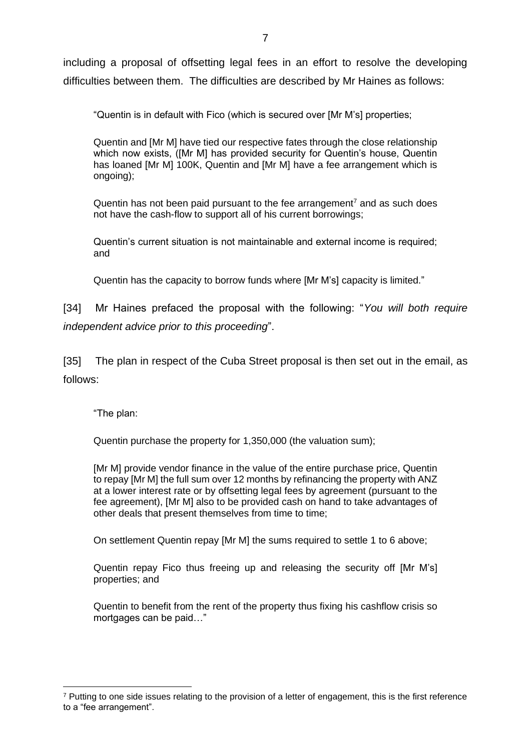including a proposal of offsetting legal fees in an effort to resolve the developing difficulties between them. The difficulties are described by Mr Haines as follows:

"Quentin is in default with Fico (which is secured over [Mr M's] properties;

Quentin and [Mr M] have tied our respective fates through the close relationship which now exists, ([Mr M] has provided security for Quentin's house, Quentin has loaned [Mr M] 100K, Quentin and [Mr M] have a fee arrangement which is ongoing);

Quentin has not been paid pursuant to the fee arrangement<sup>7</sup> and as such does not have the cash-flow to support all of his current borrowings;

Quentin's current situation is not maintainable and external income is required; and

Quentin has the capacity to borrow funds where [Mr M's] capacity is limited."

[34] Mr Haines prefaced the proposal with the following: "*You will both require independent advice prior to this proceeding*".

[35] The plan in respect of the Cuba Street proposal is then set out in the email, as follows:

"The plan:

Quentin purchase the property for 1,350,000 (the valuation sum);

[Mr M] provide vendor finance in the value of the entire purchase price, Quentin to repay [Mr M] the full sum over 12 months by refinancing the property with ANZ at a lower interest rate or by offsetting legal fees by agreement (pursuant to the fee agreement), [Mr M] also to be provided cash on hand to take advantages of other deals that present themselves from time to time;

On settlement Quentin repay [Mr M] the sums required to settle 1 to 6 above;

Quentin repay Fico thus freeing up and releasing the security off [Mr M's] properties; and

Quentin to benefit from the rent of the property thus fixing his cashflow crisis so mortgages can be paid…"

<sup>&</sup>lt;sup>7</sup> Putting to one side issues relating to the provision of a letter of engagement, this is the first reference to a "fee arrangement".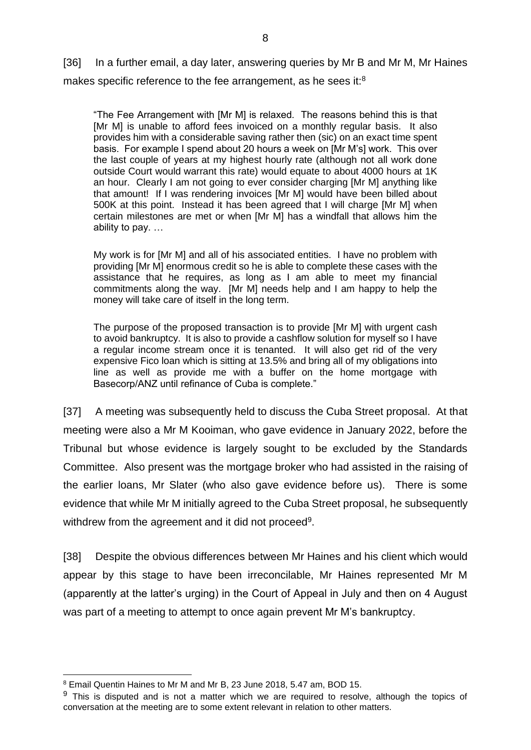[36] In a further email, a day later, answering queries by Mr B and Mr M, Mr Haines makes specific reference to the fee arrangement, as he sees it:<sup>8</sup>

"The Fee Arrangement with [Mr M] is relaxed. The reasons behind this is that [Mr M] is unable to afford fees invoiced on a monthly regular basis. It also provides him with a considerable saving rather then (sic) on an exact time spent basis. For example I spend about 20 hours a week on [Mr M's] work. This over the last couple of years at my highest hourly rate (although not all work done outside Court would warrant this rate) would equate to about 4000 hours at 1K an hour. Clearly I am not going to ever consider charging [Mr M] anything like that amount! If I was rendering invoices [Mr M] would have been billed about 500K at this point. Instead it has been agreed that I will charge [Mr M] when certain milestones are met or when [Mr M] has a windfall that allows him the ability to pay. …

My work is for [Mr M] and all of his associated entities. I have no problem with providing [Mr M] enormous credit so he is able to complete these cases with the assistance that he requires, as long as I am able to meet my financial commitments along the way. [Mr M] needs help and I am happy to help the money will take care of itself in the long term.

The purpose of the proposed transaction is to provide [Mr M] with urgent cash to avoid bankruptcy. It is also to provide a cashflow solution for myself so I have a regular income stream once it is tenanted. It will also get rid of the very expensive Fico loan which is sitting at 13.5% and bring all of my obligations into line as well as provide me with a buffer on the home mortgage with Basecorp/ANZ until refinance of Cuba is complete."

[37] A meeting was subsequently held to discuss the Cuba Street proposal. At that meeting were also a Mr M Kooiman, who gave evidence in January 2022, before the Tribunal but whose evidence is largely sought to be excluded by the Standards Committee. Also present was the mortgage broker who had assisted in the raising of the earlier loans, Mr Slater (who also gave evidence before us). There is some evidence that while Mr M initially agreed to the Cuba Street proposal, he subsequently withdrew from the agreement and it did not proceed<sup>9</sup>.

[38] Despite the obvious differences between Mr Haines and his client which would appear by this stage to have been irreconcilable, Mr Haines represented Mr M (apparently at the latter's urging) in the Court of Appeal in July and then on 4 August was part of a meeting to attempt to once again prevent Mr M's bankruptcy.

<sup>8</sup> Email Quentin Haines to Mr M and Mr B, 23 June 2018, 5.47 am, BOD 15.

 $9$  This is disputed and is not a matter which we are required to resolve, although the topics of conversation at the meeting are to some extent relevant in relation to other matters.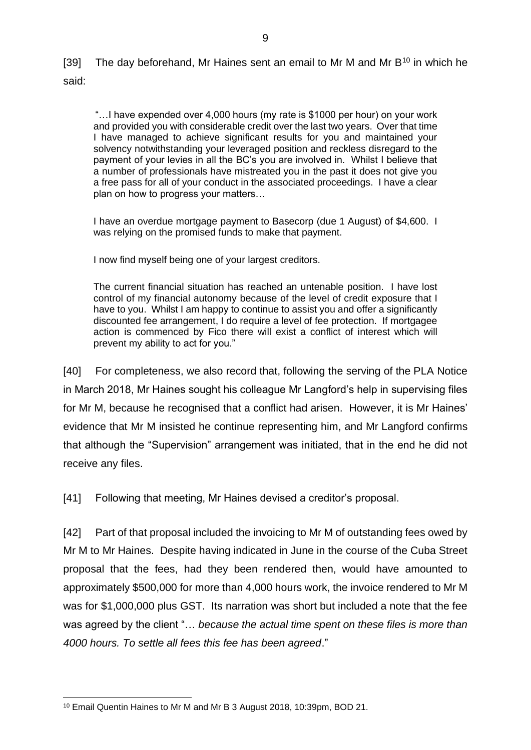[39] The day beforehand, Mr Haines sent an email to Mr M and Mr B<sup>10</sup> in which he said:

"…I have expended over 4,000 hours (my rate is \$1000 per hour) on your work and provided you with considerable credit over the last two years. Over that time I have managed to achieve significant results for you and maintained your solvency notwithstanding your leveraged position and reckless disregard to the payment of your levies in all the BC's you are involved in. Whilst I believe that a number of professionals have mistreated you in the past it does not give you a free pass for all of your conduct in the associated proceedings. I have a clear plan on how to progress your matters…

I have an overdue mortgage payment to Basecorp (due 1 August) of \$4,600. I was relying on the promised funds to make that payment.

I now find myself being one of your largest creditors.

The current financial situation has reached an untenable position. I have lost control of my financial autonomy because of the level of credit exposure that I have to you. Whilst I am happy to continue to assist you and offer a significantly discounted fee arrangement, I do require a level of fee protection. If mortgagee action is commenced by Fico there will exist a conflict of interest which will prevent my ability to act for you."

[40] For completeness, we also record that, following the serving of the PLA Notice in March 2018, Mr Haines sought his colleague Mr Langford's help in supervising files for Mr M, because he recognised that a conflict had arisen. However, it is Mr Haines' evidence that Mr M insisted he continue representing him, and Mr Langford confirms that although the "Supervision" arrangement was initiated, that in the end he did not receive any files.

[41] Following that meeting, Mr Haines devised a creditor's proposal.

[42] Part of that proposal included the invoicing to Mr M of outstanding fees owed by Mr M to Mr Haines. Despite having indicated in June in the course of the Cuba Street proposal that the fees, had they been rendered then, would have amounted to approximately \$500,000 for more than 4,000 hours work, the invoice rendered to Mr M was for \$1,000,000 plus GST. Its narration was short but included a note that the fee was agreed by the client "... *because the actual time spent on these files is more than 4000 hours. To settle all fees this fee has been agreed*."

<sup>10</sup> Email Quentin Haines to Mr M and Mr B 3 August 2018, 10:39pm, BOD 21.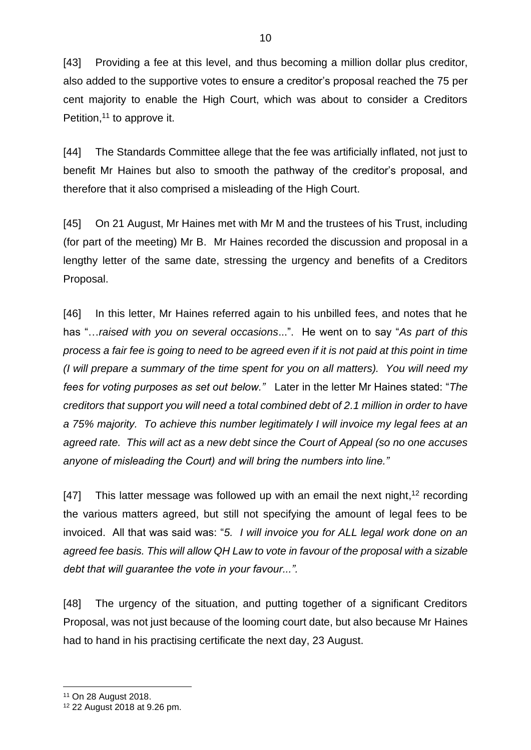[43] Providing a fee at this level, and thus becoming a million dollar plus creditor, also added to the supportive votes to ensure a creditor's proposal reached the 75 per cent majority to enable the High Court, which was about to consider a Creditors Petition, <sup>11</sup> to approve it.

[44] The Standards Committee allege that the fee was artificially inflated, not just to benefit Mr Haines but also to smooth the pathway of the creditor's proposal, and therefore that it also comprised a misleading of the High Court.

[45] On 21 August, Mr Haines met with Mr M and the trustees of his Trust, including (for part of the meeting) Mr B. Mr Haines recorded the discussion and proposal in a lengthy letter of the same date, stressing the urgency and benefits of a Creditors Proposal.

[46] In this letter, Mr Haines referred again to his unbilled fees, and notes that he has "…*raised with you on several occasions*...". He went on to say "*As part of this process a fair fee is going to need to be agreed even if it is not paid at this point in time (I will prepare a summary of the time spent for you on all matters). You will need my fees for voting purposes as set out below."* Later in the letter Mr Haines stated: "*The creditors that support you will need a total combined debt of 2.1 million in order to have a 75% majority. To achieve this number legitimately I will invoice my legal fees at an agreed rate. This will act as a new debt since the Court of Appeal (so no one accuses anyone of misleading the Court) and will bring the numbers into line."*

[47] This latter message was followed up with an email the next night,<sup>12</sup> recording the various matters agreed, but still not specifying the amount of legal fees to be invoiced. All that was said was: "*5. I will invoice you for ALL legal work done on an agreed fee basis. This will allow QH Law to vote in favour of the proposal with a sizable debt that will guarantee the vote in your favour...".*

[48] The urgency of the situation, and putting together of a significant Creditors Proposal, was not just because of the looming court date, but also because Mr Haines had to hand in his practising certificate the next day, 23 August.

<sup>11</sup> On 28 August 2018.

<sup>12</sup> 22 August 2018 at 9.26 pm.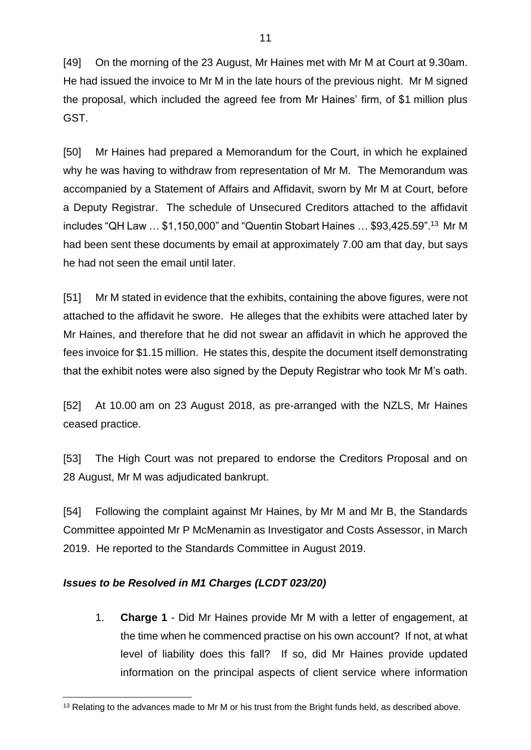[49] On the morning of the 23 August, Mr Haines met with Mr M at Court at 9.30am. He had issued the invoice to Mr M in the late hours of the previous night. Mr M signed the proposal, which included the agreed fee from Mr Haines' firm, of \$1 million plus GST.

[50] Mr Haines had prepared a Memorandum for the Court, in which he explained why he was having to withdraw from representation of Mr M. The Memorandum was accompanied by a Statement of Affairs and Affidavit, sworn by Mr M at Court, before a Deputy Registrar. The schedule of Unsecured Creditors attached to the affidavit includes "QH Law … \$1,150,000" and "Quentin Stobart Haines … \$93,425.59". <sup>13</sup> Mr M had been sent these documents by email at approximately 7.00 am that day, but says he had not seen the email until later.

[51] Mr M stated in evidence that the exhibits, containing the above figures, were not attached to the affidavit he swore. He alleges that the exhibits were attached later by Mr Haines, and therefore that he did not swear an affidavit in which he approved the fees invoice for \$1.15 million. He states this, despite the document itself demonstrating that the exhibit notes were also signed by the Deputy Registrar who took Mr M's oath.

[52] At 10.00 am on 23 August 2018, as pre-arranged with the NZLS, Mr Haines ceased practice.

[53] The High Court was not prepared to endorse the Creditors Proposal and on 28 August, Mr M was adjudicated bankrupt.

[54] Following the complaint against Mr Haines, by Mr M and Mr B, the Standards Committee appointed Mr P McMenamin as Investigator and Costs Assessor, in March 2019. He reported to the Standards Committee in August 2019.

# *Issues to be Resolved in M1 Charges (LCDT 023/20)*

1. **Charge 1** - Did Mr Haines provide Mr M with a letter of engagement, at the time when he commenced practise on his own account? If not, at what level of liability does this fall? If so, did Mr Haines provide updated information on the principal aspects of client service where information

<sup>&</sup>lt;sup>13</sup> Relating to the advances made to Mr M or his trust from the Bright funds held, as described above.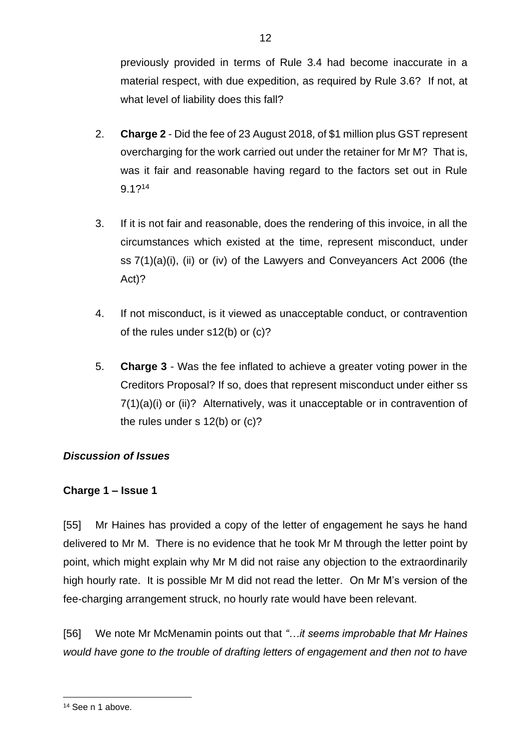previously provided in terms of Rule 3.4 had become inaccurate in a material respect, with due expedition, as required by Rule 3.6? If not, at what level of liability does this fall?

- 2. **Charge 2** Did the fee of 23 August 2018, of \$1 million plus GST represent overcharging for the work carried out under the retainer for Mr M? That is, was it fair and reasonable having regard to the factors set out in Rule 9.1?<sup>14</sup>
- 3. If it is not fair and reasonable, does the rendering of this invoice, in all the circumstances which existed at the time, represent misconduct, under ss 7(1)(a)(i), (ii) or (iv) of the Lawyers and Conveyancers Act 2006 (the Act)?
- 4. If not misconduct, is it viewed as unacceptable conduct, or contravention of the rules under s12(b) or (c)?
- 5. **Charge 3** Was the fee inflated to achieve a greater voting power in the Creditors Proposal? If so, does that represent misconduct under either ss 7(1)(a)(i) or (ii)? Alternatively, was it unacceptable or in contravention of the rules under s 12(b) or (c)?

# *Discussion of Issues*

# **Charge 1 – Issue 1**

[55] Mr Haines has provided a copy of the letter of engagement he says he hand delivered to Mr M. There is no evidence that he took Mr M through the letter point by point, which might explain why Mr M did not raise any objection to the extraordinarily high hourly rate. It is possible Mr M did not read the letter. On Mr M's version of the fee-charging arrangement struck, no hourly rate would have been relevant.

[56] We note Mr McMenamin points out that *"…it seems improbable that Mr Haines would have gone to the trouble of drafting letters of engagement and then not to have* 

<sup>14</sup> See n 1 above.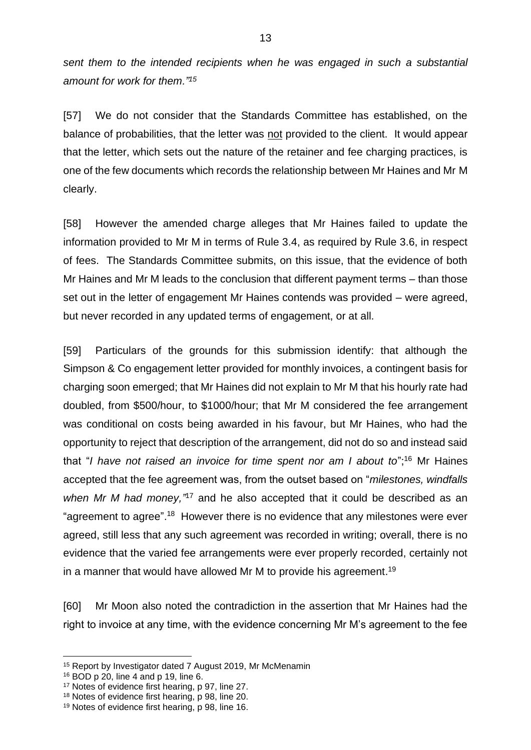*sent them to the intended recipients when he was engaged in such a substantial amount for work for them."<sup>15</sup>*

[57] We do not consider that the Standards Committee has established, on the balance of probabilities, that the letter was not provided to the client. It would appear that the letter, which sets out the nature of the retainer and fee charging practices, is one of the few documents which records the relationship between Mr Haines and Mr M clearly.

[58] However the amended charge alleges that Mr Haines failed to update the information provided to Mr M in terms of Rule 3.4, as required by Rule 3.6, in respect of fees. The Standards Committee submits, on this issue, that the evidence of both Mr Haines and Mr M leads to the conclusion that different payment terms – than those set out in the letter of engagement Mr Haines contends was provided – were agreed, but never recorded in any updated terms of engagement, or at all.

[59] Particulars of the grounds for this submission identify: that although the Simpson & Co engagement letter provided for monthly invoices, a contingent basis for charging soon emerged; that Mr Haines did not explain to Mr M that his hourly rate had doubled, from \$500/hour, to \$1000/hour; that Mr M considered the fee arrangement was conditional on costs being awarded in his favour, but Mr Haines, who had the opportunity to reject that description of the arrangement, did not do so and instead said that "*I have not raised an invoice for time spent nor am I about to*";<sup>16</sup> Mr Haines accepted that the fee agreement was, from the outset based on "*milestones, windfalls*  when Mr M had money,<sup>"17</sup> and he also accepted that it could be described as an "agreement to agree".<sup>18</sup> However there is no evidence that any milestones were ever agreed, still less that any such agreement was recorded in writing; overall, there is no evidence that the varied fee arrangements were ever properly recorded, certainly not in a manner that would have allowed Mr M to provide his agreement.<sup>19</sup>

[60] Mr Moon also noted the contradiction in the assertion that Mr Haines had the right to invoice at any time, with the evidence concerning Mr M's agreement to the fee

<sup>15</sup> Report by Investigator dated 7 August 2019, Mr McMenamin

<sup>16</sup> BOD p 20, line 4 and p 19, line 6.

<sup>17</sup> Notes of evidence first hearing, p 97, line 27.

 $18$  Notes of evidence first hearing, p 98, line 20.

<sup>&</sup>lt;sup>19</sup> Notes of evidence first hearing, p 98, line 16.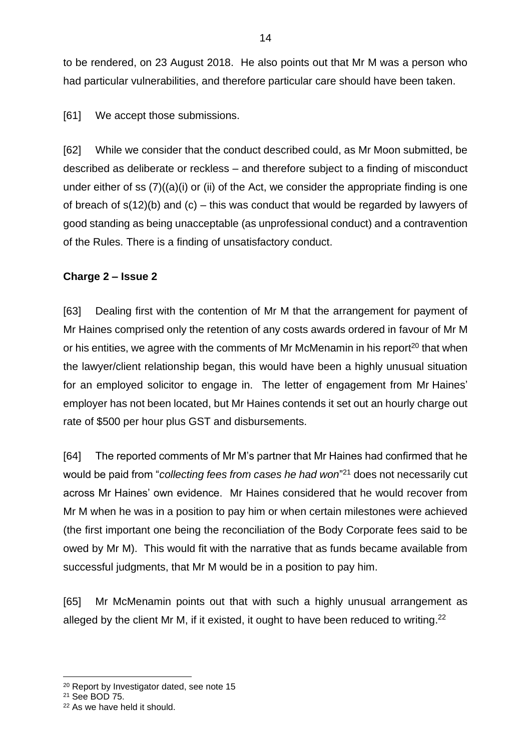to be rendered, on 23 August 2018. He also points out that Mr M was a person who had particular vulnerabilities, and therefore particular care should have been taken.

[61] We accept those submissions.

[62] While we consider that the conduct described could, as Mr Moon submitted, be described as deliberate or reckless – and therefore subject to a finding of misconduct under either of ss  $(7)((a)(i)$  or  $(ii)$  of the Act, we consider the appropriate finding is one of breach of  $s(12)(b)$  and  $(c)$  – this was conduct that would be regarded by lawyers of good standing as being unacceptable (as unprofessional conduct) and a contravention of the Rules. There is a finding of unsatisfactory conduct.

# **Charge 2 – Issue 2**

[63] Dealing first with the contention of Mr M that the arrangement for payment of Mr Haines comprised only the retention of any costs awards ordered in favour of Mr M or his entities, we agree with the comments of Mr McMenamin in his report<sup>20</sup> that when the lawyer/client relationship began, this would have been a highly unusual situation for an employed solicitor to engage in. The letter of engagement from Mr Haines' employer has not been located, but Mr Haines contends it set out an hourly charge out rate of \$500 per hour plus GST and disbursements.

[64] The reported comments of Mr M's partner that Mr Haines had confirmed that he would be paid from "*collecting fees from cases he had won*" <sup>21</sup> does not necessarily cut across Mr Haines' own evidence. Mr Haines considered that he would recover from Mr M when he was in a position to pay him or when certain milestones were achieved (the first important one being the reconciliation of the Body Corporate fees said to be owed by Mr M). This would fit with the narrative that as funds became available from successful judgments, that Mr M would be in a position to pay him.

[65] Mr McMenamin points out that with such a highly unusual arrangement as alleged by the client Mr M, if it existed, it ought to have been reduced to writing.<sup>22</sup>

<sup>20</sup> Report by Investigator dated, see note 15

<sup>21</sup> See BOD 75.

<sup>22</sup> As we have held it should.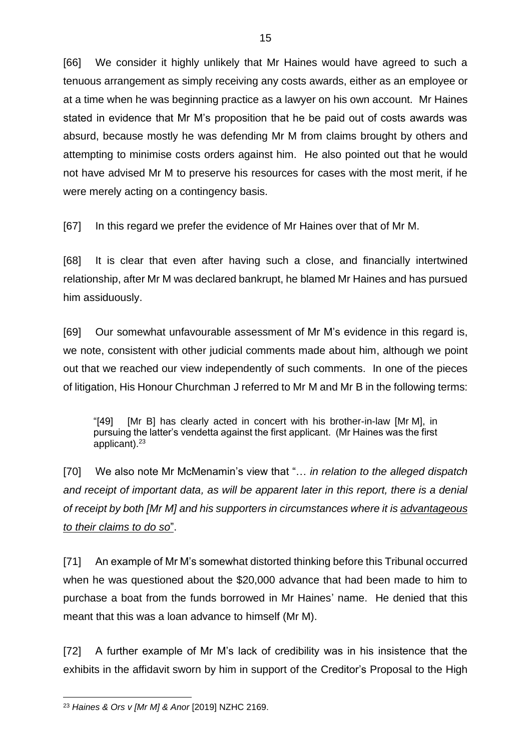[66] We consider it highly unlikely that Mr Haines would have agreed to such a tenuous arrangement as simply receiving any costs awards, either as an employee or at a time when he was beginning practice as a lawyer on his own account. Mr Haines stated in evidence that Mr M's proposition that he be paid out of costs awards was absurd, because mostly he was defending Mr M from claims brought by others and attempting to minimise costs orders against him. He also pointed out that he would not have advised Mr M to preserve his resources for cases with the most merit, if he were merely acting on a contingency basis.

[67] In this regard we prefer the evidence of Mr Haines over that of Mr M.

[68] It is clear that even after having such a close, and financially intertwined relationship, after Mr M was declared bankrupt, he blamed Mr Haines and has pursued him assiduously.

[69] Our somewhat unfavourable assessment of Mr M's evidence in this regard is, we note, consistent with other judicial comments made about him, although we point out that we reached our view independently of such comments. In one of the pieces of litigation, His Honour Churchman J referred to Mr M and Mr B in the following terms:

"[49] [Mr B] has clearly acted in concert with his brother-in-law [Mr M], in pursuing the latter's vendetta against the first applicant. (Mr Haines was the first applicant).<sup>23</sup>

[70] We also note Mr McMenamin's view that "… *in relation to the alleged dispatch and receipt of important data, as will be apparent later in this report, there is a denial of receipt by both [Mr M] and his supporters in circumstances where it is advantageous to their claims to do so*".

[71] An example of Mr M's somewhat distorted thinking before this Tribunal occurred when he was questioned about the \$20,000 advance that had been made to him to purchase a boat from the funds borrowed in Mr Haines' name. He denied that this meant that this was a loan advance to himself (Mr M).

[72] A further example of Mr M's lack of credibility was in his insistence that the exhibits in the affidavit sworn by him in support of the Creditor's Proposal to the High

<sup>23</sup> *Haines & Ors v [Mr M] & Anor* [2019] NZHC 2169.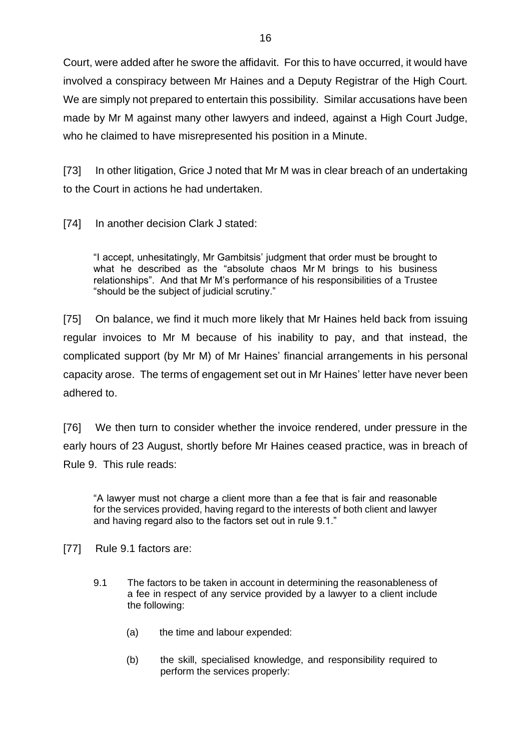Court, were added after he swore the affidavit. For this to have occurred, it would have involved a conspiracy between Mr Haines and a Deputy Registrar of the High Court. We are simply not prepared to entertain this possibility. Similar accusations have been made by Mr M against many other lawyers and indeed, against a High Court Judge, who he claimed to have misrepresented his position in a Minute.

[73] In other litigation, Grice J noted that Mr M was in clear breach of an undertaking to the Court in actions he had undertaken.

[74] In another decision Clark J stated:

"I accept, unhesitatingly, Mr Gambitsis' judgment that order must be brought to what he described as the "absolute chaos Mr M brings to his business relationships". And that Mr M's performance of his responsibilities of a Trustee "should be the subject of judicial scrutiny."

[75] On balance, we find it much more likely that Mr Haines held back from issuing regular invoices to Mr M because of his inability to pay, and that instead, the complicated support (by Mr M) of Mr Haines' financial arrangements in his personal capacity arose. The terms of engagement set out in Mr Haines' letter have never been adhered to.

[76] We then turn to consider whether the invoice rendered, under pressure in the early hours of 23 August, shortly before Mr Haines ceased practice, was in breach of Rule 9. This rule reads:

"A lawyer must not charge a client more than a fee that is fair and reasonable for the services provided, having regard to the interests of both client and lawyer and having regard also to the factors set out in rule 9.1."

- [77] Rule 9.1 factors are:
	- 9.1 The factors to be taken in account in determining the reasonableness of a fee in respect of any service provided by a lawyer to a client include the following:
		- (a) the time and labour expended:
		- (b) the skill, specialised knowledge, and responsibility required to perform the services properly: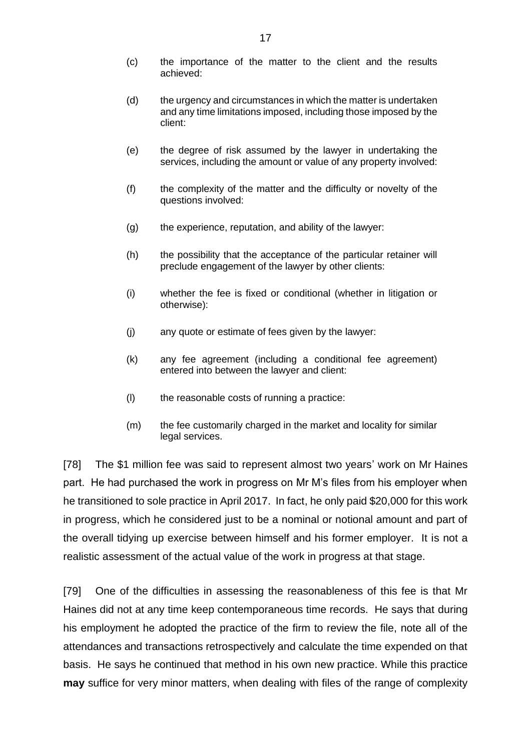- (c) the importance of the matter to the client and the results achieved:
- (d) the urgency and circumstances in which the matter is undertaken and any time limitations imposed, including those imposed by the client:
- (e) the degree of risk assumed by the lawyer in undertaking the services, including the amount or value of any property involved:
- (f) the complexity of the matter and the difficulty or novelty of the questions involved:
- (g) the experience, reputation, and ability of the lawyer:
- (h) the possibility that the acceptance of the particular retainer will preclude engagement of the lawyer by other clients:
- (i) whether the fee is fixed or conditional (whether in litigation or otherwise):
- (j) any quote or estimate of fees given by the lawyer:
- (k) any fee agreement (including a conditional fee agreement) entered into between the lawyer and client:
- (l) the reasonable costs of running a practice:
- (m) the fee customarily charged in the market and locality for similar legal services.

[78] The \$1 million fee was said to represent almost two years' work on Mr Haines part. He had purchased the work in progress on Mr M's files from his employer when he transitioned to sole practice in April 2017. In fact, he only paid \$20,000 for this work in progress, which he considered just to be a nominal or notional amount and part of the overall tidying up exercise between himself and his former employer. It is not a realistic assessment of the actual value of the work in progress at that stage.

[79] One of the difficulties in assessing the reasonableness of this fee is that Mr Haines did not at any time keep contemporaneous time records. He says that during his employment he adopted the practice of the firm to review the file, note all of the attendances and transactions retrospectively and calculate the time expended on that basis. He says he continued that method in his own new practice. While this practice **may** suffice for very minor matters, when dealing with files of the range of complexity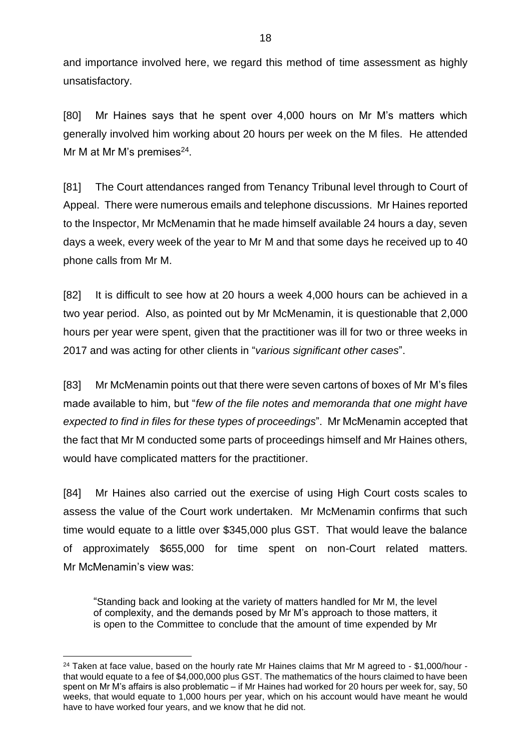and importance involved here, we regard this method of time assessment as highly unsatisfactory.

[80] Mr Haines says that he spent over 4,000 hours on Mr M's matters which generally involved him working about 20 hours per week on the M files. He attended Mr M at Mr M's premises $^{24}$ .

[81] The Court attendances ranged from Tenancy Tribunal level through to Court of Appeal. There were numerous emails and telephone discussions. Mr Haines reported to the Inspector, Mr McMenamin that he made himself available 24 hours a day, seven days a week, every week of the year to Mr M and that some days he received up to 40 phone calls from Mr M.

[82] It is difficult to see how at 20 hours a week 4,000 hours can be achieved in a two year period. Also, as pointed out by Mr McMenamin, it is questionable that 2,000 hours per year were spent, given that the practitioner was ill for two or three weeks in 2017 and was acting for other clients in "*various significant other cases*".

[83] Mr McMenamin points out that there were seven cartons of boxes of Mr M's files made available to him, but "*few of the file notes and memoranda that one might have expected to find in files for these types of proceedings*". Mr McMenamin accepted that the fact that Mr M conducted some parts of proceedings himself and Mr Haines others, would have complicated matters for the practitioner.

[84] Mr Haines also carried out the exercise of using High Court costs scales to assess the value of the Court work undertaken. Mr McMenamin confirms that such time would equate to a little over \$345,000 plus GST. That would leave the balance of approximately \$655,000 for time spent on non-Court related matters. Mr McMenamin's view was:

"Standing back and looking at the variety of matters handled for Mr M, the level of complexity, and the demands posed by Mr M's approach to those matters, it is open to the Committee to conclude that the amount of time expended by Mr

 $24$  Taken at face value, based on the hourly rate Mr Haines claims that Mr M agreed to - \$1,000/hour that would equate to a fee of \$4,000,000 plus GST. The mathematics of the hours claimed to have been spent on Mr M's affairs is also problematic – if Mr Haines had worked for 20 hours per week for, say, 50 weeks, that would equate to 1,000 hours per year, which on his account would have meant he would have to have worked four years, and we know that he did not.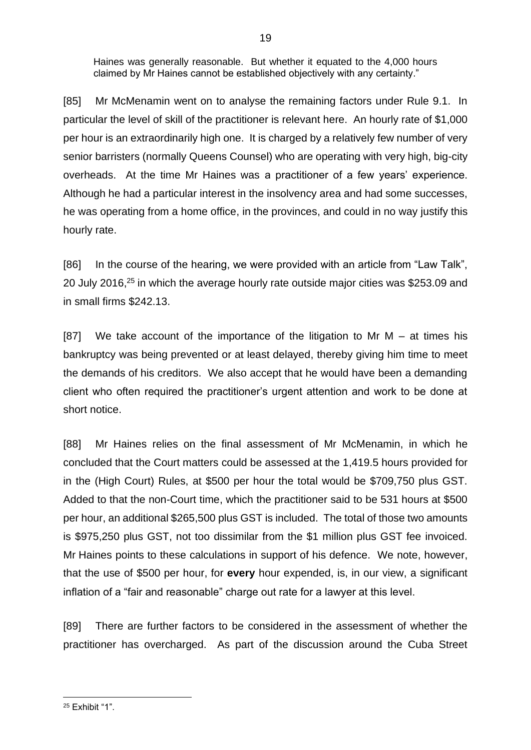Haines was generally reasonable. But whether it equated to the 4,000 hours claimed by Mr Haines cannot be established objectively with any certainty."

[85] Mr McMenamin went on to analyse the remaining factors under Rule 9.1. In particular the level of skill of the practitioner is relevant here. An hourly rate of \$1,000 per hour is an extraordinarily high one. It is charged by a relatively few number of very senior barristers (normally Queens Counsel) who are operating with very high, big-city overheads. At the time Mr Haines was a practitioner of a few years' experience. Although he had a particular interest in the insolvency area and had some successes, he was operating from a home office, in the provinces, and could in no way justify this hourly rate.

[86] In the course of the hearing, we were provided with an article from "Law Talk", 20 July 2016,<sup>25</sup> in which the average hourly rate outside major cities was \$253.09 and in small firms \$242.13.

[87] We take account of the importance of the litigation to Mr  $M - at$  times his bankruptcy was being prevented or at least delayed, thereby giving him time to meet the demands of his creditors. We also accept that he would have been a demanding client who often required the practitioner's urgent attention and work to be done at short notice.

[88] Mr Haines relies on the final assessment of Mr McMenamin, in which he concluded that the Court matters could be assessed at the 1,419.5 hours provided for in the (High Court) Rules, at \$500 per hour the total would be \$709,750 plus GST. Added to that the non-Court time, which the practitioner said to be 531 hours at \$500 per hour, an additional \$265,500 plus GST is included. The total of those two amounts is \$975,250 plus GST, not too dissimilar from the \$1 million plus GST fee invoiced. Mr Haines points to these calculations in support of his defence. We note, however, that the use of \$500 per hour, for **every** hour expended, is, in our view, a significant inflation of a "fair and reasonable" charge out rate for a lawyer at this level.

[89] There are further factors to be considered in the assessment of whether the practitioner has overcharged. As part of the discussion around the Cuba Street

<sup>25</sup> Exhibit "1".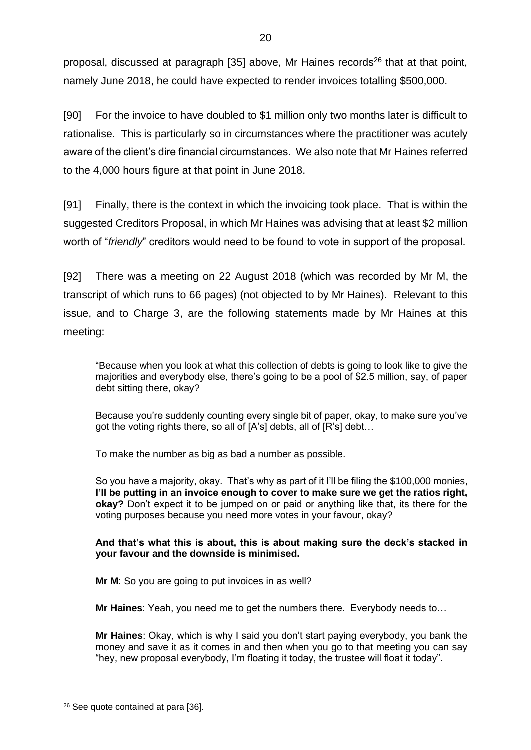proposal, discussed at paragraph [35] above, Mr Haines records<sup>26</sup> that at that point, namely June 2018, he could have expected to render invoices totalling \$500,000.

[90] For the invoice to have doubled to \$1 million only two months later is difficult to rationalise. This is particularly so in circumstances where the practitioner was acutely aware of the client's dire financial circumstances. We also note that Mr Haines referred to the 4,000 hours figure at that point in June 2018.

[91] Finally, there is the context in which the invoicing took place. That is within the suggested Creditors Proposal, in which Mr Haines was advising that at least \$2 million worth of "*friendly*" creditors would need to be found to vote in support of the proposal.

[92] There was a meeting on 22 August 2018 (which was recorded by Mr M, the transcript of which runs to 66 pages) (not objected to by Mr Haines). Relevant to this issue, and to Charge 3, are the following statements made by Mr Haines at this meeting:

"Because when you look at what this collection of debts is going to look like to give the majorities and everybody else, there's going to be a pool of \$2.5 million, say, of paper debt sitting there, okay?

Because you're suddenly counting every single bit of paper, okay, to make sure you've got the voting rights there, so all of [A's] debts, all of [R's] debt…

To make the number as big as bad a number as possible.

So you have a majority, okay. That's why as part of it I'll be filing the \$100,000 monies, **I'll be putting in an invoice enough to cover to make sure we get the ratios right, okay?** Don't expect it to be jumped on or paid or anything like that, its there for the voting purposes because you need more votes in your favour, okay?

**And that's what this is about, this is about making sure the deck's stacked in your favour and the downside is minimised.**

**Mr M**: So you are going to put invoices in as well?

**Mr Haines**: Yeah, you need me to get the numbers there. Everybody needs to…

**Mr Haines**: Okay, which is why I said you don't start paying everybody, you bank the money and save it as it comes in and then when you go to that meeting you can say "hey, new proposal everybody, I'm floating it today, the trustee will float it today".

<sup>26</sup> See quote contained at para [36].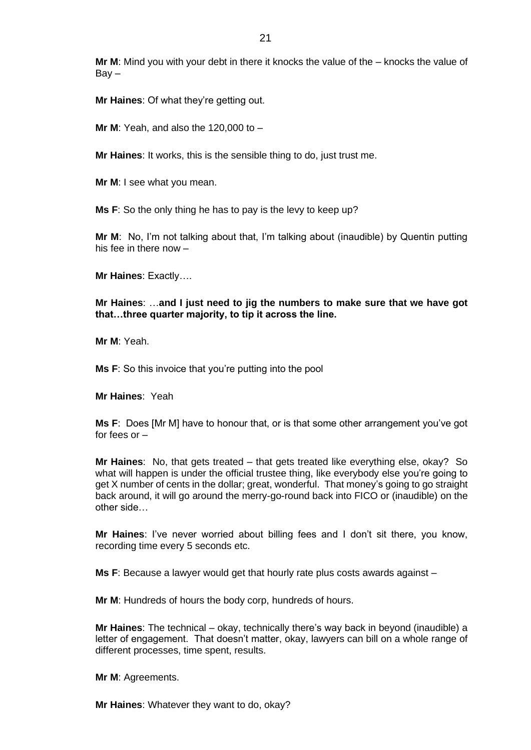**Mr M**: Mind you with your debt in there it knocks the value of the – knocks the value of  $Bav -$ 

**Mr Haines**: Of what they're getting out.

**Mr M**: Yeah, and also the 120,000 to –

**Mr Haines**: It works, this is the sensible thing to do, just trust me.

**Mr M**: I see what you mean.

**Ms F**: So the only thing he has to pay is the levy to keep up?

**Mr M**: No, I'm not talking about that, I'm talking about (inaudible) by Quentin putting his fee in there now –

**Mr Haines**: Exactly….

**Mr Haines**: …**and I just need to jig the numbers to make sure that we have got that…three quarter majority, to tip it across the line.** 

**Mr M**: Yeah.

**Ms F**: So this invoice that you're putting into the pool

**Mr Haines**: Yeah

**Ms F**: Does [Mr M] have to honour that, or is that some other arrangement you've got for fees or –

**Mr Haines**: No, that gets treated – that gets treated like everything else, okay? So what will happen is under the official trustee thing, like everybody else you're going to get X number of cents in the dollar; great, wonderful. That money's going to go straight back around, it will go around the merry-go-round back into FICO or (inaudible) on the other side…

**Mr Haines**: I've never worried about billing fees and I don't sit there, you know, recording time every 5 seconds etc.

**Ms F**: Because a lawyer would get that hourly rate plus costs awards against –

**Mr M**: Hundreds of hours the body corp, hundreds of hours.

**Mr Haines**: The technical – okay, technically there's way back in beyond (inaudible) a letter of engagement. That doesn't matter, okay, lawyers can bill on a whole range of different processes, time spent, results.

**Mr M**: Agreements.

**Mr Haines**: Whatever they want to do, okay?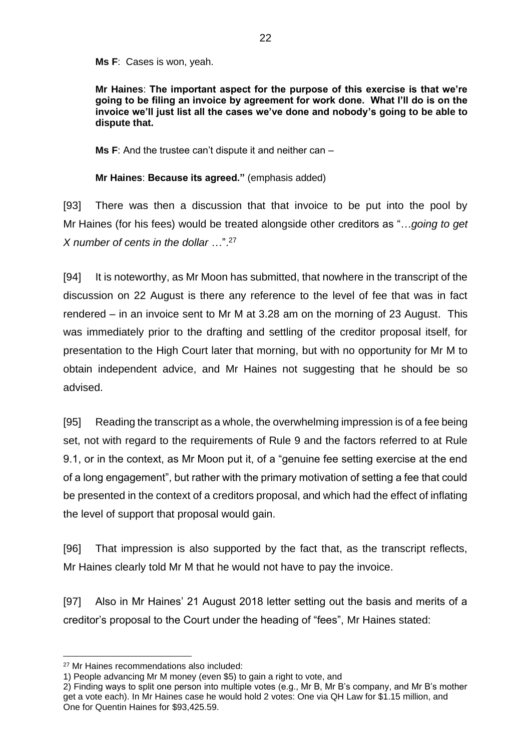**Ms F**: Cases is won, yeah.

**Mr Haines**: **The important aspect for the purpose of this exercise is that we're going to be filing an invoice by agreement for work done. What I'll do is on the invoice we'll just list all the cases we've done and nobody's going to be able to dispute that.** 

**Ms F**: And the trustee can't dispute it and neither can –

**Mr Haines**: **Because its agreed."** (emphasis added)

[93] There was then a discussion that that invoice to be put into the pool by Mr Haines (for his fees) would be treated alongside other creditors as "…*going to get X number of cents in the dollar* …".<sup>27</sup>

[94] It is noteworthy, as Mr Moon has submitted, that nowhere in the transcript of the discussion on 22 August is there any reference to the level of fee that was in fact rendered – in an invoice sent to Mr M at 3.28 am on the morning of 23 August. This was immediately prior to the drafting and settling of the creditor proposal itself, for presentation to the High Court later that morning, but with no opportunity for Mr M to obtain independent advice, and Mr Haines not suggesting that he should be so advised.

[95] Reading the transcript as a whole, the overwhelming impression is of a fee being set, not with regard to the requirements of Rule 9 and the factors referred to at Rule 9.1, or in the context, as Mr Moon put it, of a "genuine fee setting exercise at the end of a long engagement", but rather with the primary motivation of setting a fee that could be presented in the context of a creditors proposal, and which had the effect of inflating the level of support that proposal would gain.

[96] That impression is also supported by the fact that, as the transcript reflects, Mr Haines clearly told Mr M that he would not have to pay the invoice.

[97] Also in Mr Haines' 21 August 2018 letter setting out the basis and merits of a creditor's proposal to the Court under the heading of "fees", Mr Haines stated:

<sup>27</sup> Mr Haines recommendations also included:

<sup>1)</sup> People advancing Mr M money (even \$5) to gain a right to vote, and

<sup>2)</sup> Finding ways to split one person into multiple votes (e.g., Mr B, Mr B's company, and Mr B's mother get a vote each). In Mr Haines case he would hold 2 votes: One via QH Law for \$1.15 million, and One for Quentin Haines for \$93,425.59.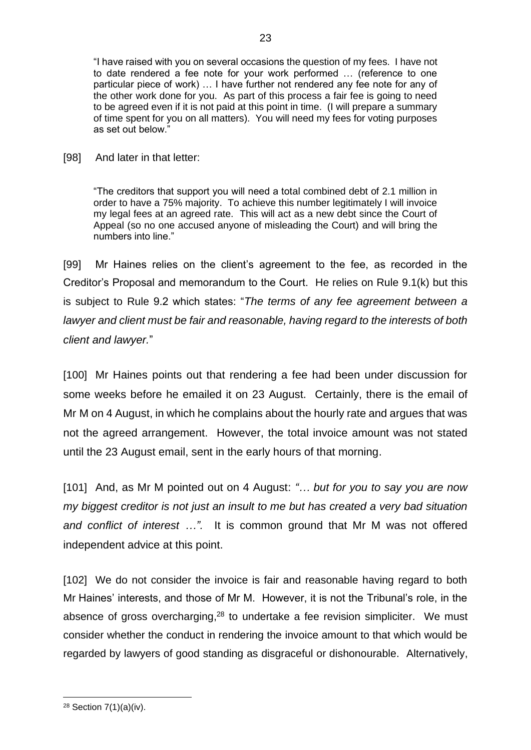"I have raised with you on several occasions the question of my fees. I have not to date rendered a fee note for your work performed … (reference to one particular piece of work) … I have further not rendered any fee note for any of the other work done for you. As part of this process a fair fee is going to need to be agreed even if it is not paid at this point in time. (I will prepare a summary of time spent for you on all matters). You will need my fees for voting purposes as set out below."

[98] And later in that letter:

"The creditors that support you will need a total combined debt of 2.1 million in order to have a 75% majority. To achieve this number legitimately I will invoice my legal fees at an agreed rate. This will act as a new debt since the Court of Appeal (so no one accused anyone of misleading the Court) and will bring the numbers into line."

[99] Mr Haines relies on the client's agreement to the fee, as recorded in the Creditor's Proposal and memorandum to the Court. He relies on Rule 9.1(k) but this is subject to Rule 9.2 which states: "*The terms of any fee agreement between a lawyer and client must be fair and reasonable, having regard to the interests of both client and lawyer.*"

[100] Mr Haines points out that rendering a fee had been under discussion for some weeks before he emailed it on 23 August. Certainly, there is the email of Mr M on 4 August, in which he complains about the hourly rate and argues that was not the agreed arrangement. However, the total invoice amount was not stated until the 23 August email, sent in the early hours of that morning.

[101] And, as Mr M pointed out on 4 August: *"… but for you to say you are now my biggest creditor is not just an insult to me but has created a very bad situation and conflict of interest …".* It is common ground that Mr M was not offered independent advice at this point.

[102] We do not consider the invoice is fair and reasonable having regard to both Mr Haines' interests, and those of Mr M. However, it is not the Tribunal's role, in the absence of gross overcharging, $28$  to undertake a fee revision simpliciter. We must consider whether the conduct in rendering the invoice amount to that which would be regarded by lawyers of good standing as disgraceful or dishonourable. Alternatively,

<sup>28</sup> Section 7(1)(a)(iv).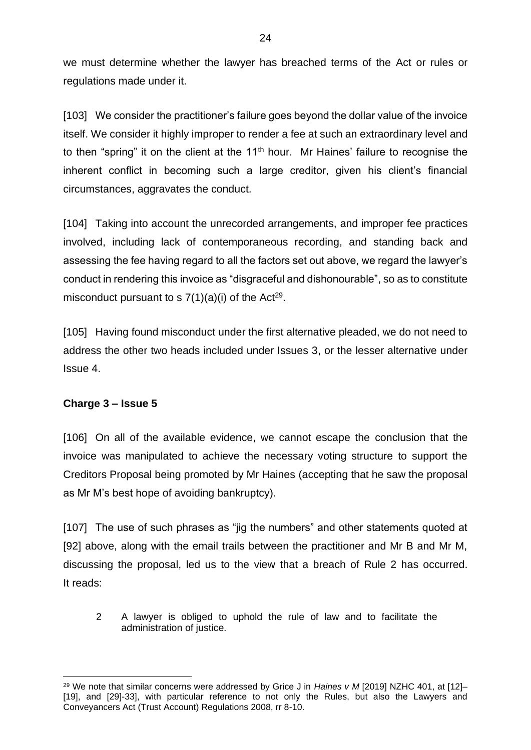we must determine whether the lawyer has breached terms of the Act or rules or regulations made under it.

[103] We consider the practitioner's failure goes beyond the dollar value of the invoice itself. We consider it highly improper to render a fee at such an extraordinary level and to then "spring" it on the client at the  $11<sup>th</sup>$  hour. Mr Haines' failure to recognise the inherent conflict in becoming such a large creditor, given his client's financial circumstances, aggravates the conduct.

[104] Taking into account the unrecorded arrangements, and improper fee practices involved, including lack of contemporaneous recording, and standing back and assessing the fee having regard to all the factors set out above, we regard the lawyer's conduct in rendering this invoice as "disgraceful and dishonourable", so as to constitute misconduct pursuant to s  $7(1)(a)(i)$  of the Act<sup>29</sup>.

[105] Having found misconduct under the first alternative pleaded, we do not need to address the other two heads included under Issues 3, or the lesser alternative under Issue 4.

# **Charge 3 – Issue 5**

[106] On all of the available evidence, we cannot escape the conclusion that the invoice was manipulated to achieve the necessary voting structure to support the Creditors Proposal being promoted by Mr Haines (accepting that he saw the proposal as Mr M's best hope of avoiding bankruptcy).

[107] The use of such phrases as "jig the numbers" and other statements quoted at [92] above, along with the email trails between the practitioner and Mr B and Mr M, discussing the proposal, led us to the view that a breach of Rule 2 has occurred. It reads:

2 A lawyer is obliged to uphold the rule of law and to facilitate the administration of justice.

<sup>29</sup> We note that similar concerns were addressed by Grice J in *Haines v M* [2019] NZHC 401, at [12]– [19], and [29]-33], with particular reference to not only the Rules, but also the Lawyers and Conveyancers Act (Trust Account) Regulations 2008, rr 8-10.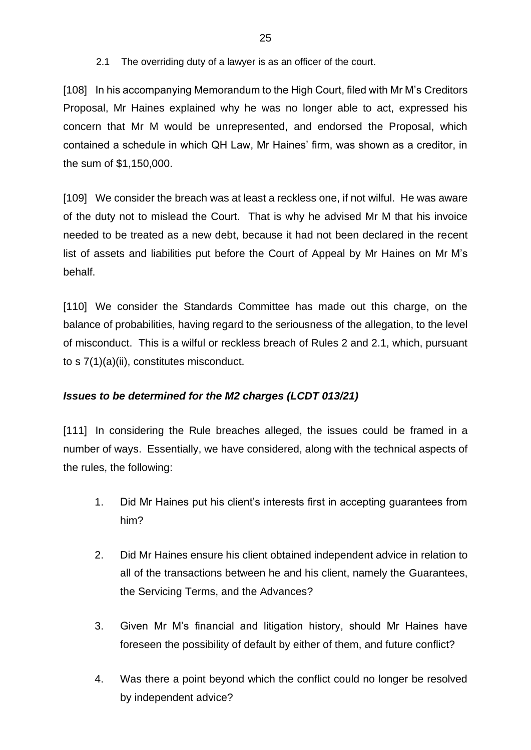2.1 The overriding duty of a lawyer is as an officer of the court.

[108] In his accompanying Memorandum to the High Court, filed with Mr M's Creditors Proposal, Mr Haines explained why he was no longer able to act, expressed his concern that Mr M would be unrepresented, and endorsed the Proposal, which contained a schedule in which QH Law, Mr Haines' firm, was shown as a creditor, in the sum of \$1,150,000.

[109] We consider the breach was at least a reckless one, if not wilful. He was aware of the duty not to mislead the Court. That is why he advised Mr M that his invoice needed to be treated as a new debt, because it had not been declared in the recent list of assets and liabilities put before the Court of Appeal by Mr Haines on Mr M's behalf.

[110] We consider the Standards Committee has made out this charge, on the balance of probabilities, having regard to the seriousness of the allegation, to the level of misconduct. This is a wilful or reckless breach of Rules 2 and 2.1, which, pursuant to s 7(1)(a)(ii), constitutes misconduct.

# *Issues to be determined for the M2 charges (LCDT 013/21)*

[111] In considering the Rule breaches alleged, the issues could be framed in a number of ways. Essentially, we have considered, along with the technical aspects of the rules, the following:

- 1. Did Mr Haines put his client's interests first in accepting guarantees from him?
- 2. Did Mr Haines ensure his client obtained independent advice in relation to all of the transactions between he and his client, namely the Guarantees, the Servicing Terms, and the Advances?
- 3. Given Mr M's financial and litigation history, should Mr Haines have foreseen the possibility of default by either of them, and future conflict?
- 4. Was there a point beyond which the conflict could no longer be resolved by independent advice?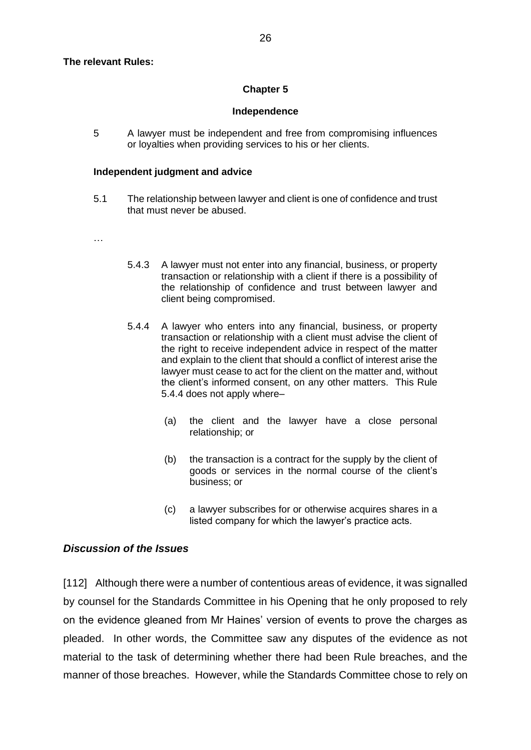### **Chapter 5**

#### **Independence**

5 A lawyer must be independent and free from compromising influences or loyalties when providing services to his or her clients.

#### **Independent judgment and advice**

- 5.1 The relationship between lawyer and client is one of confidence and trust that must never be abused.
- …
- 5.4.3 A lawyer must not enter into any financial, business, or property transaction or relationship with a client if there is a possibility of the relationship of confidence and trust between lawyer and client being compromised.
- 5.4.4 A lawyer who enters into any financial, business, or property transaction or relationship with a client must advise the client of the right to receive independent advice in respect of the matter and explain to the client that should a conflict of interest arise the lawyer must cease to act for the client on the matter and, without the client's informed consent, on any other matters. This Rule 5.4.4 does not apply where–
	- (a) the client and the lawyer have a close personal relationship; or
	- (b) the transaction is a contract for the supply by the client of goods or services in the normal course of the client's business; or
	- (c) a lawyer subscribes for or otherwise acquires shares in a listed company for which the lawyer's practice acts.

### *Discussion of the Issues*

[112] Although there were a number of contentious areas of evidence, it was signalled by counsel for the Standards Committee in his Opening that he only proposed to rely on the evidence gleaned from Mr Haines' version of events to prove the charges as pleaded. In other words, the Committee saw any disputes of the evidence as not material to the task of determining whether there had been Rule breaches, and the manner of those breaches. However, while the Standards Committee chose to rely on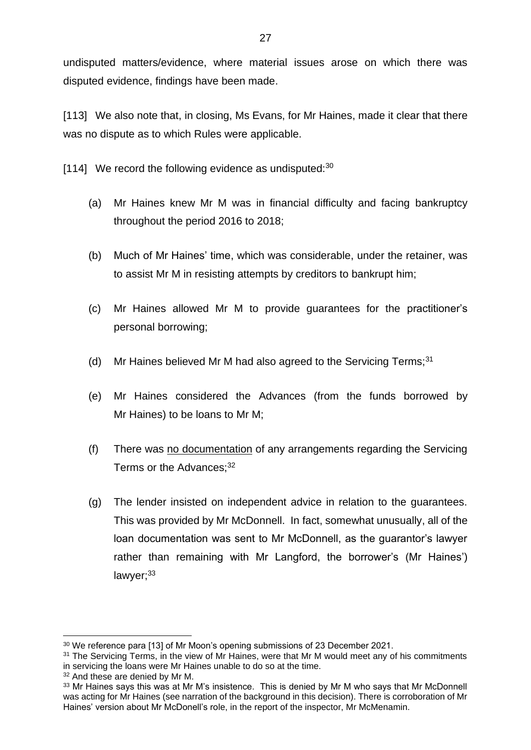undisputed matters/evidence, where material issues arose on which there was disputed evidence, findings have been made.

[113] We also note that, in closing, Ms Evans, for Mr Haines, made it clear that there was no dispute as to which Rules were applicable.

[114] We record the following evidence as undisputed: $30$ 

- (a) Mr Haines knew Mr M was in financial difficulty and facing bankruptcy throughout the period 2016 to 2018;
- (b) Much of Mr Haines' time, which was considerable, under the retainer, was to assist Mr M in resisting attempts by creditors to bankrupt him;
- (c) Mr Haines allowed Mr M to provide guarantees for the practitioner's personal borrowing;
- (d) Mr Haines believed Mr M had also agreed to the Servicing Terms;  $31$
- (e) Mr Haines considered the Advances (from the funds borrowed by Mr Haines) to be loans to Mr M;
- (f) There was no documentation of any arrangements regarding the Servicing Terms or the Advances: 32
- (g) The lender insisted on independent advice in relation to the guarantees. This was provided by Mr McDonnell. In fact, somewhat unusually, all of the loan documentation was sent to Mr McDonnell, as the guarantor's lawyer rather than remaining with Mr Langford, the borrower's (Mr Haines') lawyer: 33

<sup>30</sup> We reference para [13] of Mr Moon's opening submissions of 23 December 2021.

<sup>&</sup>lt;sup>31</sup> The Servicing Terms, in the view of Mr Haines, were that Mr M would meet any of his commitments in servicing the loans were Mr Haines unable to do so at the time.

<sup>&</sup>lt;sup>32</sup> And these are denied by Mr M.

<sup>33</sup> Mr Haines says this was at Mr M's insistence. This is denied by Mr M who says that Mr McDonnell was acting for Mr Haines (see narration of the background in this decision). There is corroboration of Mr Haines' version about Mr McDonell's role, in the report of the inspector, Mr McMenamin.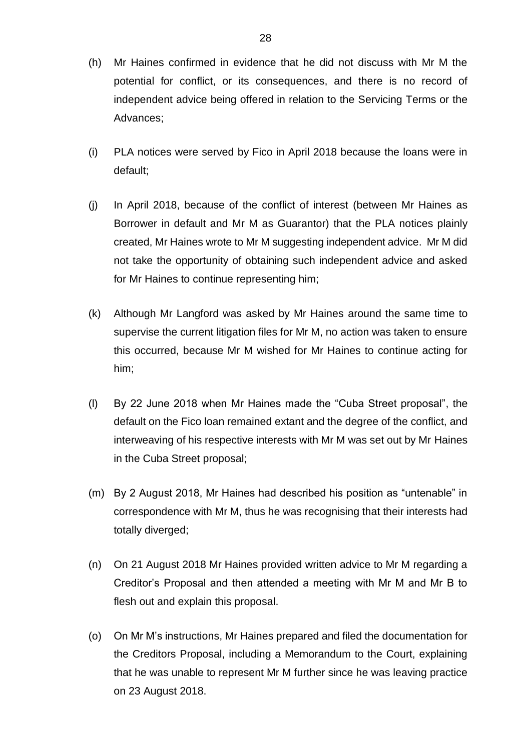- (h) Mr Haines confirmed in evidence that he did not discuss with Mr M the potential for conflict, or its consequences, and there is no record of independent advice being offered in relation to the Servicing Terms or the Advances;
- (i) PLA notices were served by Fico in April 2018 because the loans were in default;
- (j) In April 2018, because of the conflict of interest (between Mr Haines as Borrower in default and Mr M as Guarantor) that the PLA notices plainly created, Mr Haines wrote to Mr M suggesting independent advice. Mr M did not take the opportunity of obtaining such independent advice and asked for Mr Haines to continue representing him;
- (k) Although Mr Langford was asked by Mr Haines around the same time to supervise the current litigation files for Mr M, no action was taken to ensure this occurred, because Mr M wished for Mr Haines to continue acting for him;
- (l) By 22 June 2018 when Mr Haines made the "Cuba Street proposal", the default on the Fico loan remained extant and the degree of the conflict, and interweaving of his respective interests with Mr M was set out by Mr Haines in the Cuba Street proposal;
- (m) By 2 August 2018, Mr Haines had described his position as "untenable" in correspondence with Mr M, thus he was recognising that their interests had totally diverged;
- (n) On 21 August 2018 Mr Haines provided written advice to Mr M regarding a Creditor's Proposal and then attended a meeting with Mr M and Mr B to flesh out and explain this proposal.
- (o) On Mr M's instructions, Mr Haines prepared and filed the documentation for the Creditors Proposal, including a Memorandum to the Court, explaining that he was unable to represent Mr M further since he was leaving practice on 23 August 2018.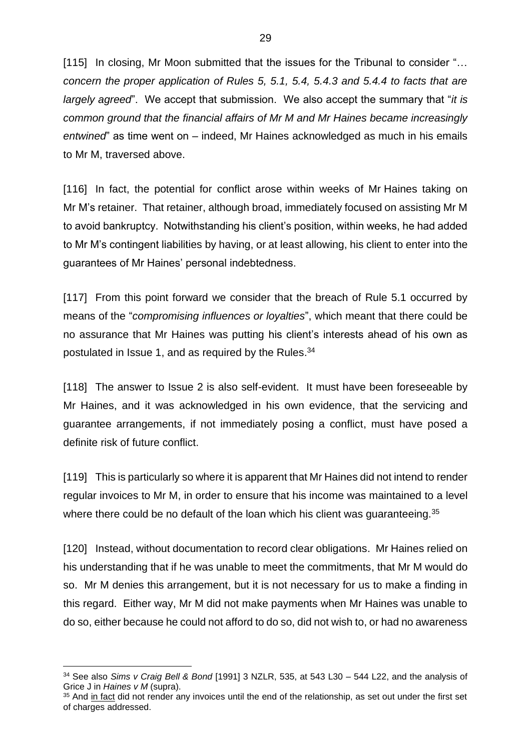[115] In closing, Mr Moon submitted that the issues for the Tribunal to consider "... *concern the proper application of Rules 5, 5.1, 5.4, 5.4.3 and 5.4.4 to facts that are largely agreed*". We accept that submission. We also accept the summary that "*it is common ground that the financial affairs of Mr M and Mr Haines became increasingly entwined*" as time went on – indeed, Mr Haines acknowledged as much in his emails to Mr M, traversed above.

[116] In fact, the potential for conflict arose within weeks of Mr Haines taking on Mr M's retainer. That retainer, although broad, immediately focused on assisting Mr M to avoid bankruptcy. Notwithstanding his client's position, within weeks, he had added to Mr M's contingent liabilities by having, or at least allowing, his client to enter into the guarantees of Mr Haines' personal indebtedness.

[117] From this point forward we consider that the breach of Rule 5.1 occurred by means of the "*compromising influences or loyalties*", which meant that there could be no assurance that Mr Haines was putting his client's interests ahead of his own as postulated in Issue 1, and as required by the Rules.<sup>34</sup>

[118] The answer to Issue 2 is also self-evident. It must have been foreseeable by Mr Haines, and it was acknowledged in his own evidence, that the servicing and guarantee arrangements, if not immediately posing a conflict, must have posed a definite risk of future conflict.

[119] This is particularly so where it is apparent that Mr Haines did not intend to render regular invoices to Mr M, in order to ensure that his income was maintained to a level where there could be no default of the loan which his client was guaranteeing.<sup>35</sup>

[120] Instead, without documentation to record clear obligations. Mr Haines relied on his understanding that if he was unable to meet the commitments, that Mr M would do so. Mr M denies this arrangement, but it is not necessary for us to make a finding in this regard. Either way, Mr M did not make payments when Mr Haines was unable to do so, either because he could not afford to do so, did not wish to, or had no awareness

<sup>34</sup> See also *Sims v Craig Bell & Bond* [1991] 3 NZLR, 535, at 543 L30 – 544 L22, and the analysis of Grice J in *Haines v M* (supra).

<sup>&</sup>lt;sup>35</sup> And in fact did not render any invoices until the end of the relationship, as set out under the first set of charges addressed.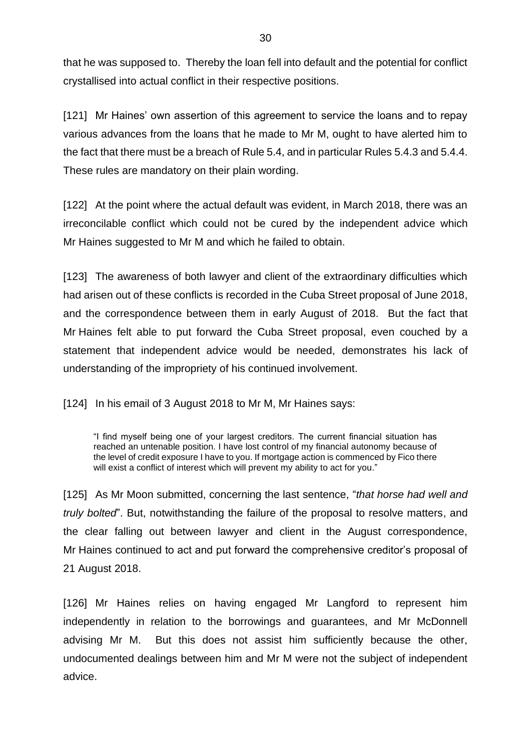that he was supposed to. Thereby the loan fell into default and the potential for conflict crystallised into actual conflict in their respective positions.

[121] Mr Haines' own assertion of this agreement to service the loans and to repay various advances from the loans that he made to Mr M, ought to have alerted him to the fact that there must be a breach of Rule 5.4, and in particular Rules 5.4.3 and 5.4.4. These rules are mandatory on their plain wording.

[122] At the point where the actual default was evident, in March 2018, there was an irreconcilable conflict which could not be cured by the independent advice which Mr Haines suggested to Mr M and which he failed to obtain.

[123] The awareness of both lawyer and client of the extraordinary difficulties which had arisen out of these conflicts is recorded in the Cuba Street proposal of June 2018, and the correspondence between them in early August of 2018. But the fact that Mr Haines felt able to put forward the Cuba Street proposal, even couched by a statement that independent advice would be needed, demonstrates his lack of understanding of the impropriety of his continued involvement.

[124] In his email of 3 August 2018 to Mr M, Mr Haines says:

"I find myself being one of your largest creditors. The current financial situation has reached an untenable position. I have lost control of my financial autonomy because of the level of credit exposure I have to you. If mortgage action is commenced by Fico there will exist a conflict of interest which will prevent my ability to act for you."

[125] As Mr Moon submitted, concerning the last sentence, "*that horse had well and truly bolted*". But, notwithstanding the failure of the proposal to resolve matters, and the clear falling out between lawyer and client in the August correspondence, Mr Haines continued to act and put forward the comprehensive creditor's proposal of 21 August 2018.

[126] Mr Haines relies on having engaged Mr Langford to represent him independently in relation to the borrowings and guarantees, and Mr McDonnell advising Mr M. But this does not assist him sufficiently because the other, undocumented dealings between him and Mr M were not the subject of independent advice.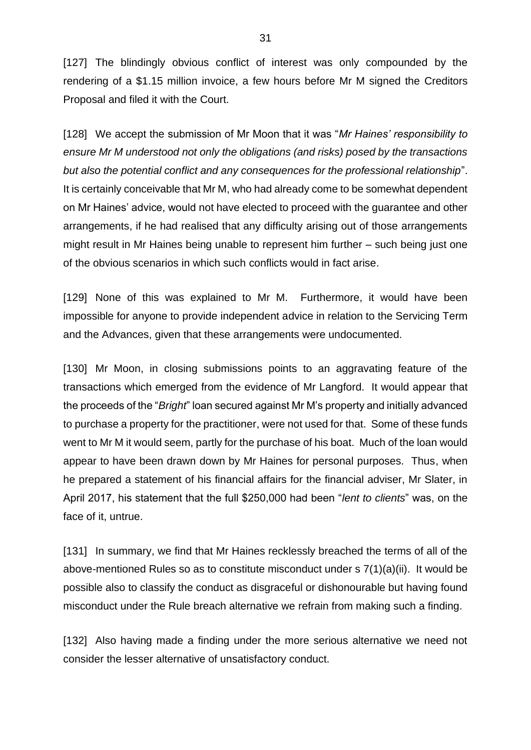[127] The blindingly obvious conflict of interest was only compounded by the rendering of a \$1.15 million invoice, a few hours before Mr M signed the Creditors Proposal and filed it with the Court.

[128] We accept the submission of Mr Moon that it was "*Mr Haines' responsibility to ensure Mr M understood not only the obligations (and risks) posed by the transactions but also the potential conflict and any consequences for the professional relationship*". It is certainly conceivable that Mr M, who had already come to be somewhat dependent on Mr Haines' advice, would not have elected to proceed with the guarantee and other arrangements, if he had realised that any difficulty arising out of those arrangements might result in Mr Haines being unable to represent him further – such being just one of the obvious scenarios in which such conflicts would in fact arise.

[129] None of this was explained to Mr M. Furthermore, it would have been impossible for anyone to provide independent advice in relation to the Servicing Term and the Advances, given that these arrangements were undocumented.

[130] Mr Moon, in closing submissions points to an aggravating feature of the transactions which emerged from the evidence of Mr Langford. It would appear that the proceeds of the "*Bright*" loan secured against Mr M's property and initially advanced to purchase a property for the practitioner, were not used for that. Some of these funds went to Mr M it would seem, partly for the purchase of his boat. Much of the loan would appear to have been drawn down by Mr Haines for personal purposes. Thus, when he prepared a statement of his financial affairs for the financial adviser, Mr Slater, in April 2017, his statement that the full \$250,000 had been "*lent to clients*" was, on the face of it, untrue.

[131] In summary, we find that Mr Haines recklessly breached the terms of all of the above-mentioned Rules so as to constitute misconduct under s 7(1)(a)(ii). It would be possible also to classify the conduct as disgraceful or dishonourable but having found misconduct under the Rule breach alternative we refrain from making such a finding.

[132] Also having made a finding under the more serious alternative we need not consider the lesser alternative of unsatisfactory conduct.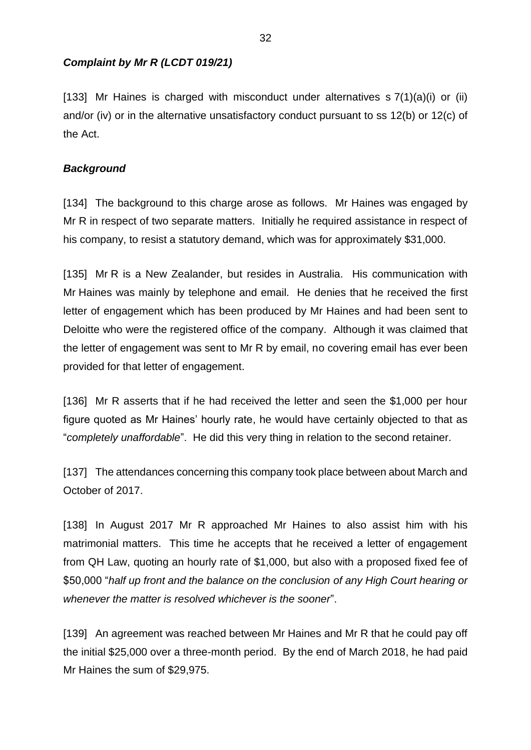# *Complaint by Mr R (LCDT 019/21)*

[133] Mr Haines is charged with misconduct under alternatives s 7(1)(a)(i) or (ii) and/or (iv) or in the alternative unsatisfactory conduct pursuant to ss 12(b) or 12(c) of the Act.

### *Background*

[134] The background to this charge arose as follows. Mr Haines was engaged by Mr R in respect of two separate matters. Initially he required assistance in respect of his company, to resist a statutory demand, which was for approximately \$31,000.

[135] Mr R is a New Zealander, but resides in Australia. His communication with Mr Haines was mainly by telephone and email. He denies that he received the first letter of engagement which has been produced by Mr Haines and had been sent to Deloitte who were the registered office of the company. Although it was claimed that the letter of engagement was sent to Mr R by email, no covering email has ever been provided for that letter of engagement.

[136] Mr R asserts that if he had received the letter and seen the \$1,000 per hour figure quoted as Mr Haines' hourly rate, he would have certainly objected to that as "*completely unaffordable*". He did this very thing in relation to the second retainer.

[137] The attendances concerning this company took place between about March and October of 2017.

[138] In August 2017 Mr R approached Mr Haines to also assist him with his matrimonial matters. This time he accepts that he received a letter of engagement from QH Law, quoting an hourly rate of \$1,000, but also with a proposed fixed fee of \$50,000 "*half up front and the balance on the conclusion of any High Court hearing or whenever the matter is resolved whichever is the sooner*".

[139] An agreement was reached between Mr Haines and Mr R that he could pay off the initial \$25,000 over a three-month period. By the end of March 2018, he had paid Mr Haines the sum of \$29,975.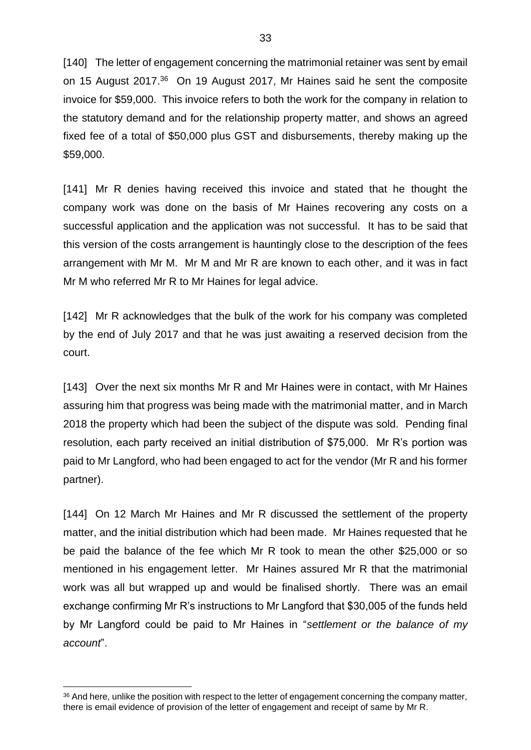[140] The letter of engagement concerning the matrimonial retainer was sent by email on 15 August 2017.<sup>36</sup> On 19 August 2017, Mr Haines said he sent the composite invoice for \$59,000. This invoice refers to both the work for the company in relation to the statutory demand and for the relationship property matter, and shows an agreed fixed fee of a total of \$50,000 plus GST and disbursements, thereby making up the \$59,000.

[141] Mr R denies having received this invoice and stated that he thought the company work was done on the basis of Mr Haines recovering any costs on a successful application and the application was not successful. It has to be said that this version of the costs arrangement is hauntingly close to the description of the fees arrangement with Mr M. Mr M and Mr R are known to each other, and it was in fact Mr M who referred Mr R to Mr Haines for legal advice.

[142] Mr R acknowledges that the bulk of the work for his company was completed by the end of July 2017 and that he was just awaiting a reserved decision from the court.

[143] Over the next six months Mr R and Mr Haines were in contact, with Mr Haines assuring him that progress was being made with the matrimonial matter, and in March 2018 the property which had been the subject of the dispute was sold. Pending final resolution, each party received an initial distribution of \$75,000. Mr R's portion was paid to Mr Langford, who had been engaged to act for the vendor (Mr R and his former partner).

[144] On 12 March Mr Haines and Mr R discussed the settlement of the property matter, and the initial distribution which had been made. Mr Haines requested that he be paid the balance of the fee which Mr R took to mean the other \$25,000 or so mentioned in his engagement letter. Mr Haines assured Mr R that the matrimonial work was all but wrapped up and would be finalised shortly. There was an email exchange confirming Mr R's instructions to Mr Langford that \$30,005 of the funds held by Mr Langford could be paid to Mr Haines in "*settlement or the balance of my account*".

<sup>36</sup> And here, unlike the position with respect to the letter of engagement concerning the company matter, there is email evidence of provision of the letter of engagement and receipt of same by Mr R.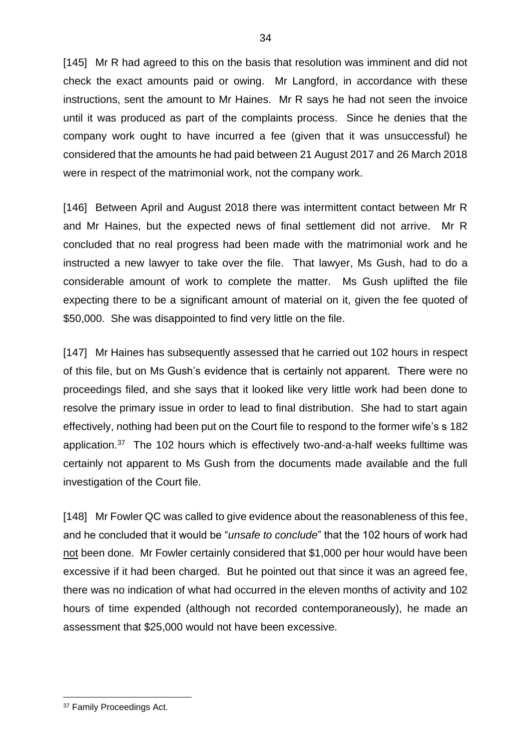[145] Mr R had agreed to this on the basis that resolution was imminent and did not check the exact amounts paid or owing. Mr Langford, in accordance with these instructions, sent the amount to Mr Haines. Mr R says he had not seen the invoice until it was produced as part of the complaints process. Since he denies that the company work ought to have incurred a fee (given that it was unsuccessful) he considered that the amounts he had paid between 21 August 2017 and 26 March 2018 were in respect of the matrimonial work, not the company work.

[146] Between April and August 2018 there was intermittent contact between Mr R and Mr Haines, but the expected news of final settlement did not arrive. Mr R concluded that no real progress had been made with the matrimonial work and he instructed a new lawyer to take over the file. That lawyer, Ms Gush, had to do a considerable amount of work to complete the matter. Ms Gush uplifted the file expecting there to be a significant amount of material on it, given the fee quoted of \$50,000. She was disappointed to find very little on the file.

[147] Mr Haines has subsequently assessed that he carried out 102 hours in respect of this file, but on Ms Gush's evidence that is certainly not apparent. There were no proceedings filed, and she says that it looked like very little work had been done to resolve the primary issue in order to lead to final distribution. She had to start again effectively, nothing had been put on the Court file to respond to the former wife's s 182 application.<sup>37</sup> The 102 hours which is effectively two-and-a-half weeks fulltime was certainly not apparent to Ms Gush from the documents made available and the full investigation of the Court file.

[148] Mr Fowler QC was called to give evidence about the reasonableness of this fee, and he concluded that it would be "*unsafe to conclude*" that the 102 hours of work had not been done. Mr Fowler certainly considered that \$1,000 per hour would have been excessive if it had been charged. But he pointed out that since it was an agreed fee, there was no indication of what had occurred in the eleven months of activity and 102 hours of time expended (although not recorded contemporaneously), he made an assessment that \$25,000 would not have been excessive.

<sup>&</sup>lt;sup>37</sup> Family Proceedings Act.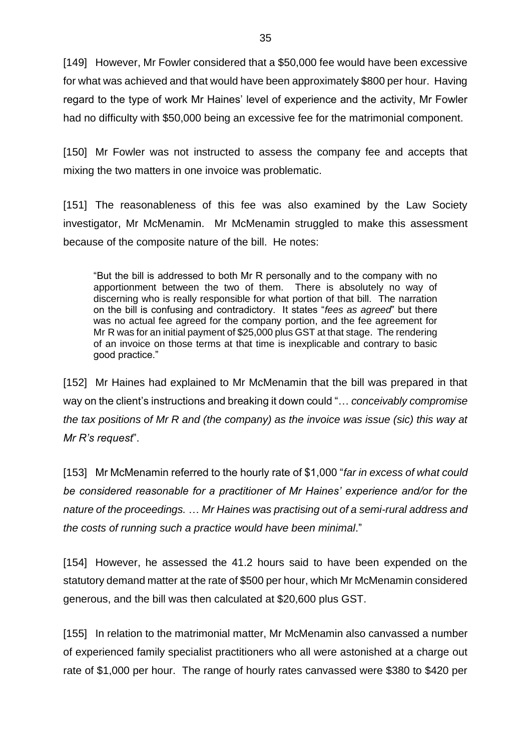[149] However, Mr Fowler considered that a \$50,000 fee would have been excessive for what was achieved and that would have been approximately \$800 per hour. Having regard to the type of work Mr Haines' level of experience and the activity, Mr Fowler had no difficulty with \$50,000 being an excessive fee for the matrimonial component.

[150] Mr Fowler was not instructed to assess the company fee and accepts that mixing the two matters in one invoice was problematic.

[151] The reasonableness of this fee was also examined by the Law Society investigator, Mr McMenamin. Mr McMenamin struggled to make this assessment because of the composite nature of the bill. He notes:

"But the bill is addressed to both Mr R personally and to the company with no apportionment between the two of them. There is absolutely no way of discerning who is really responsible for what portion of that bill. The narration on the bill is confusing and contradictory. It states "*fees as agreed*" but there was no actual fee agreed for the company portion, and the fee agreement for Mr R was for an initial payment of \$25,000 plus GST at that stage. The rendering of an invoice on those terms at that time is inexplicable and contrary to basic good practice."

[152] Mr Haines had explained to Mr McMenamin that the bill was prepared in that way on the client's instructions and breaking it down could "… *conceivably compromise the tax positions of Mr R and (the company) as the invoice was issue (sic) this way at Mr R's request*".

[153] Mr McMenamin referred to the hourly rate of \$1,000 "*far in excess of what could be considered reasonable for a practitioner of Mr Haines' experience and/or for the nature of the proceedings.* … *Mr Haines was practising out of a semi-rural address and the costs of running such a practice would have been minimal*."

[154] However, he assessed the 41.2 hours said to have been expended on the statutory demand matter at the rate of \$500 per hour, which Mr McMenamin considered generous, and the bill was then calculated at \$20,600 plus GST.

[155] In relation to the matrimonial matter, Mr McMenamin also canvassed a number of experienced family specialist practitioners who all were astonished at a charge out rate of \$1,000 per hour. The range of hourly rates canvassed were \$380 to \$420 per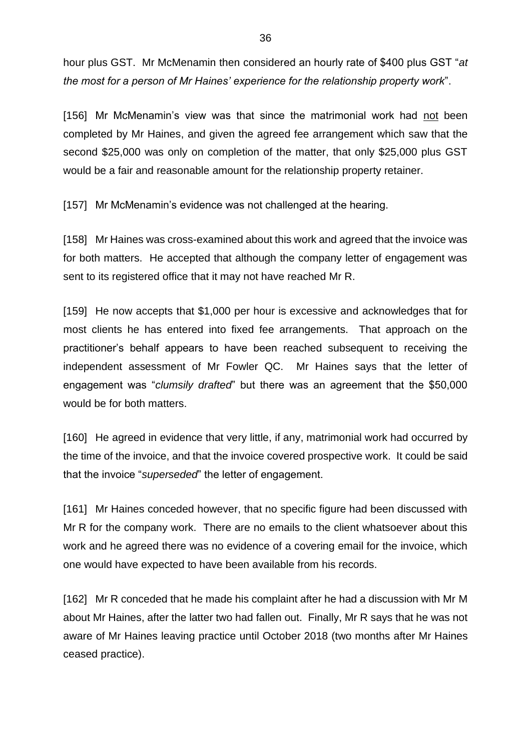hour plus GST. Mr McMenamin then considered an hourly rate of \$400 plus GST "*at the most for a person of Mr Haines' experience for the relationship property work*".

[156] Mr McMenamin's view was that since the matrimonial work had not been completed by Mr Haines, and given the agreed fee arrangement which saw that the second \$25,000 was only on completion of the matter, that only \$25,000 plus GST would be a fair and reasonable amount for the relationship property retainer.

[157] Mr McMenamin's evidence was not challenged at the hearing.

[158] Mr Haines was cross-examined about this work and agreed that the invoice was for both matters. He accepted that although the company letter of engagement was sent to its registered office that it may not have reached Mr R.

[159] He now accepts that \$1,000 per hour is excessive and acknowledges that for most clients he has entered into fixed fee arrangements. That approach on the practitioner's behalf appears to have been reached subsequent to receiving the independent assessment of Mr Fowler QC. Mr Haines says that the letter of engagement was "*clumsily drafted*" but there was an agreement that the \$50,000 would be for both matters.

[160] He agreed in evidence that very little, if any, matrimonial work had occurred by the time of the invoice, and that the invoice covered prospective work. It could be said that the invoice "*superseded*" the letter of engagement.

[161] Mr Haines conceded however, that no specific figure had been discussed with Mr R for the company work. There are no emails to the client whatsoever about this work and he agreed there was no evidence of a covering email for the invoice, which one would have expected to have been available from his records.

[162] Mr R conceded that he made his complaint after he had a discussion with Mr M about Mr Haines, after the latter two had fallen out. Finally, Mr R says that he was not aware of Mr Haines leaving practice until October 2018 (two months after Mr Haines ceased practice).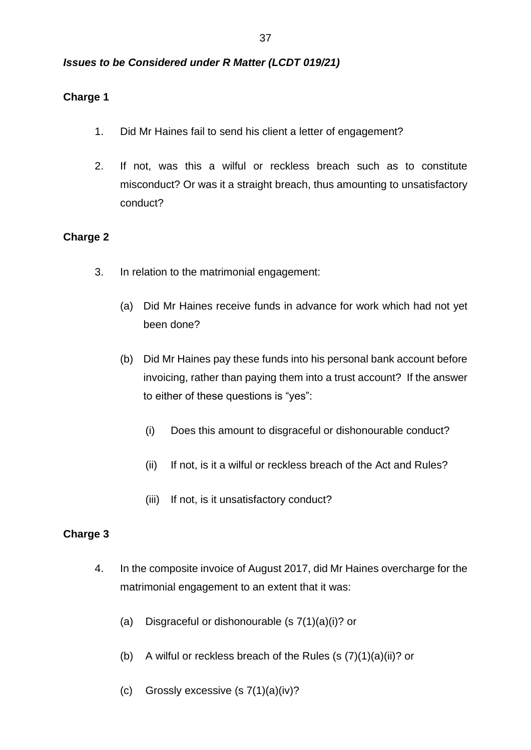# *Issues to be Considered under R Matter (LCDT 019/21)*

## **Charge 1**

- 1. Did Mr Haines fail to send his client a letter of engagement?
- 2. If not, was this a wilful or reckless breach such as to constitute misconduct? Or was it a straight breach, thus amounting to unsatisfactory conduct?

# **Charge 2**

- 3. In relation to the matrimonial engagement:
	- (a) Did Mr Haines receive funds in advance for work which had not yet been done?
	- (b) Did Mr Haines pay these funds into his personal bank account before invoicing, rather than paying them into a trust account? If the answer to either of these questions is "yes":
		- (i) Does this amount to disgraceful or dishonourable conduct?
		- (ii) If not, is it a wilful or reckless breach of the Act and Rules?
		- (iii) If not, is it unsatisfactory conduct?

### **Charge 3**

- 4. In the composite invoice of August 2017, did Mr Haines overcharge for the matrimonial engagement to an extent that it was:
	- (a) Disgraceful or dishonourable  $(s 7(1)(a)(i)$ ? or
	- (b) A wilful or reckless breach of the Rules  $(s (7)(1)(a)(ii)$ ? or
	- (c) Grossly excessive (s 7(1)(a)(iv)?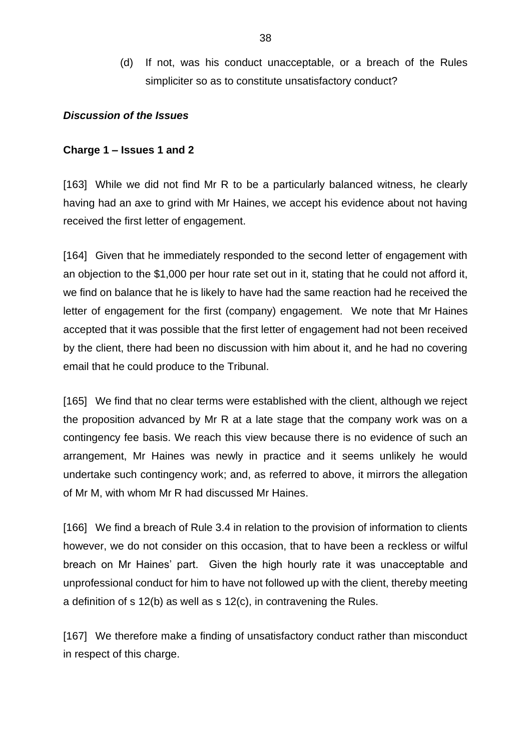(d) If not, was his conduct unacceptable, or a breach of the Rules simpliciter so as to constitute unsatisfactory conduct?

### *Discussion of the Issues*

### **Charge 1 – Issues 1 and 2**

[163] While we did not find Mr R to be a particularly balanced witness, he clearly having had an axe to grind with Mr Haines, we accept his evidence about not having received the first letter of engagement.

[164] Given that he immediately responded to the second letter of engagement with an objection to the \$1,000 per hour rate set out in it, stating that he could not afford it, we find on balance that he is likely to have had the same reaction had he received the letter of engagement for the first (company) engagement. We note that Mr Haines accepted that it was possible that the first letter of engagement had not been received by the client, there had been no discussion with him about it, and he had no covering email that he could produce to the Tribunal.

[165] We find that no clear terms were established with the client, although we reject the proposition advanced by Mr R at a late stage that the company work was on a contingency fee basis. We reach this view because there is no evidence of such an arrangement, Mr Haines was newly in practice and it seems unlikely he would undertake such contingency work; and, as referred to above, it mirrors the allegation of Mr M, with whom Mr R had discussed Mr Haines.

[166] We find a breach of Rule 3.4 in relation to the provision of information to clients however, we do not consider on this occasion, that to have been a reckless or wilful breach on Mr Haines' part. Given the high hourly rate it was unacceptable and unprofessional conduct for him to have not followed up with the client, thereby meeting a definition of s 12(b) as well as s 12(c), in contravening the Rules.

[167] We therefore make a finding of unsatisfactory conduct rather than misconduct in respect of this charge.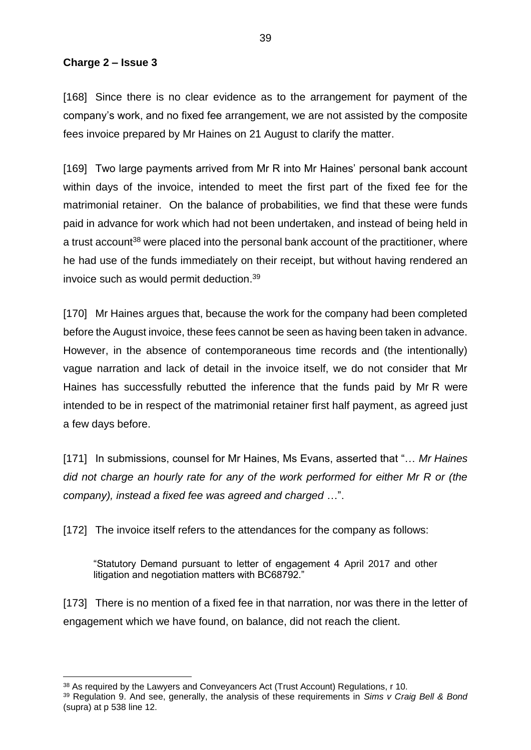# **Charge 2 – Issue 3**

[168] Since there is no clear evidence as to the arrangement for payment of the company's work, and no fixed fee arrangement, we are not assisted by the composite fees invoice prepared by Mr Haines on 21 August to clarify the matter.

[169] Two large payments arrived from Mr R into Mr Haines' personal bank account within days of the invoice, intended to meet the first part of the fixed fee for the matrimonial retainer. On the balance of probabilities, we find that these were funds paid in advance for work which had not been undertaken, and instead of being held in a trust account<sup>38</sup> were placed into the personal bank account of the practitioner, where he had use of the funds immediately on their receipt, but without having rendered an invoice such as would permit deduction. 39

[170] Mr Haines argues that, because the work for the company had been completed before the August invoice, these fees cannot be seen as having been taken in advance. However, in the absence of contemporaneous time records and (the intentionally) vague narration and lack of detail in the invoice itself, we do not consider that Mr Haines has successfully rebutted the inference that the funds paid by Mr R were intended to be in respect of the matrimonial retainer first half payment, as agreed just a few days before.

[171] In submissions, counsel for Mr Haines, Ms Evans, asserted that "… *Mr Haines did not charge an hourly rate for any of the work performed for either Mr R or (the company), instead a fixed fee was agreed and charged* …".

[172] The invoice itself refers to the attendances for the company as follows:

"Statutory Demand pursuant to letter of engagement 4 April 2017 and other litigation and negotiation matters with BC68792."

[173] There is no mention of a fixed fee in that narration, nor was there in the letter of engagement which we have found, on balance, did not reach the client.

<sup>38</sup> As required by the Lawyers and Conveyancers Act (Trust Account) Regulations, r 10.

<sup>39</sup> Regulation 9. And see, generally, the analysis of these requirements in *Sims v Craig Bell & Bond* (supra) at p 538 line 12.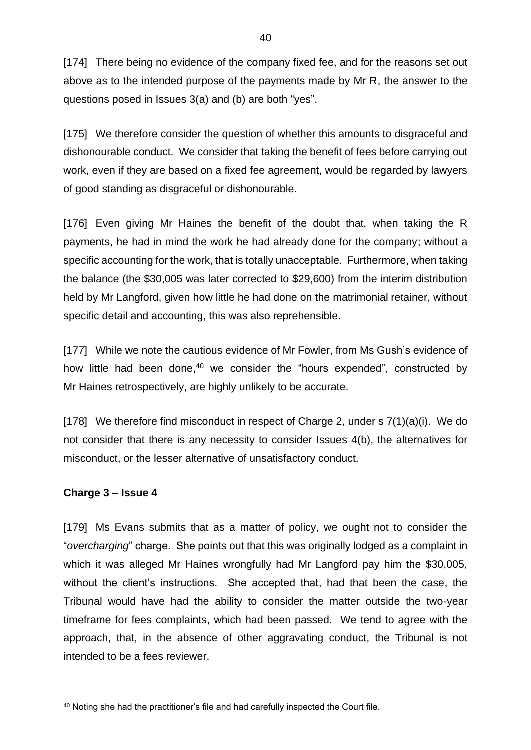[174] There being no evidence of the company fixed fee, and for the reasons set out above as to the intended purpose of the payments made by Mr R, the answer to the questions posed in Issues 3(a) and (b) are both "yes".

[175] We therefore consider the question of whether this amounts to disgraceful and dishonourable conduct. We consider that taking the benefit of fees before carrying out work, even if they are based on a fixed fee agreement, would be regarded by lawyers of good standing as disgraceful or dishonourable.

[176] Even giving Mr Haines the benefit of the doubt that, when taking the R payments, he had in mind the work he had already done for the company; without a specific accounting for the work, that is totally unacceptable. Furthermore, when taking the balance (the \$30,005 was later corrected to \$29,600) from the interim distribution held by Mr Langford, given how little he had done on the matrimonial retainer, without specific detail and accounting, this was also reprehensible.

[177] While we note the cautious evidence of Mr Fowler, from Ms Gush's evidence of how little had been done,<sup>40</sup> we consider the "hours expended", constructed by Mr Haines retrospectively, are highly unlikely to be accurate.

[178] We therefore find misconduct in respect of Charge 2, under s  $7(1)(a)(i)$ . We do not consider that there is any necessity to consider Issues 4(b), the alternatives for misconduct, or the lesser alternative of unsatisfactory conduct.

### **Charge 3 – Issue 4**

[179] Ms Evans submits that as a matter of policy, we ought not to consider the "*overcharging*" charge. She points out that this was originally lodged as a complaint in which it was alleged Mr Haines wrongfully had Mr Langford pay him the \$30,005, without the client's instructions. She accepted that, had that been the case, the Tribunal would have had the ability to consider the matter outside the two-year timeframe for fees complaints, which had been passed. We tend to agree with the approach, that, in the absence of other aggravating conduct, the Tribunal is not intended to be a fees reviewer.

<sup>40</sup> Noting she had the practitioner's file and had carefully inspected the Court file.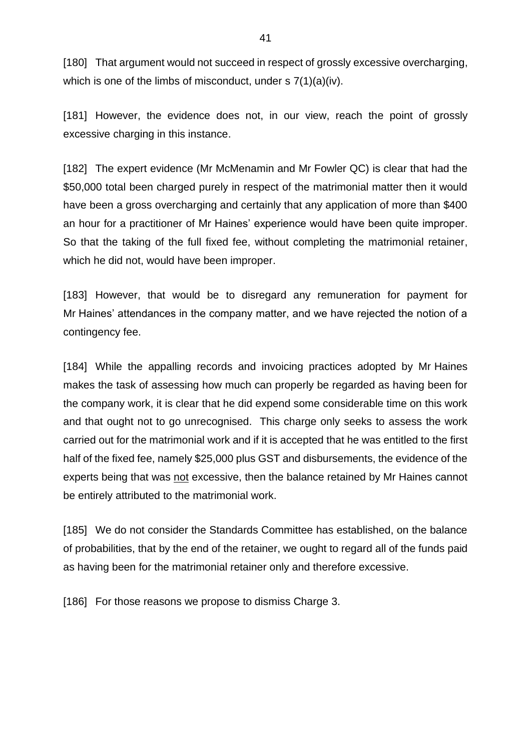[180] That argument would not succeed in respect of grossly excessive overcharging, which is one of the limbs of misconduct, under s  $7(1)(a)(iv)$ .

[181] However, the evidence does not, in our view, reach the point of grossly excessive charging in this instance.

[182] The expert evidence (Mr McMenamin and Mr Fowler QC) is clear that had the \$50,000 total been charged purely in respect of the matrimonial matter then it would have been a gross overcharging and certainly that any application of more than \$400 an hour for a practitioner of Mr Haines' experience would have been quite improper. So that the taking of the full fixed fee, without completing the matrimonial retainer, which he did not, would have been improper.

[183] However, that would be to disregard any remuneration for payment for Mr Haines' attendances in the company matter, and we have rejected the notion of a contingency fee.

[184] While the appalling records and invoicing practices adopted by Mr Haines makes the task of assessing how much can properly be regarded as having been for the company work, it is clear that he did expend some considerable time on this work and that ought not to go unrecognised. This charge only seeks to assess the work carried out for the matrimonial work and if it is accepted that he was entitled to the first half of the fixed fee, namely \$25,000 plus GST and disbursements, the evidence of the experts being that was not excessive, then the balance retained by Mr Haines cannot be entirely attributed to the matrimonial work.

[185] We do not consider the Standards Committee has established, on the balance of probabilities, that by the end of the retainer, we ought to regard all of the funds paid as having been for the matrimonial retainer only and therefore excessive.

[186] For those reasons we propose to dismiss Charge 3.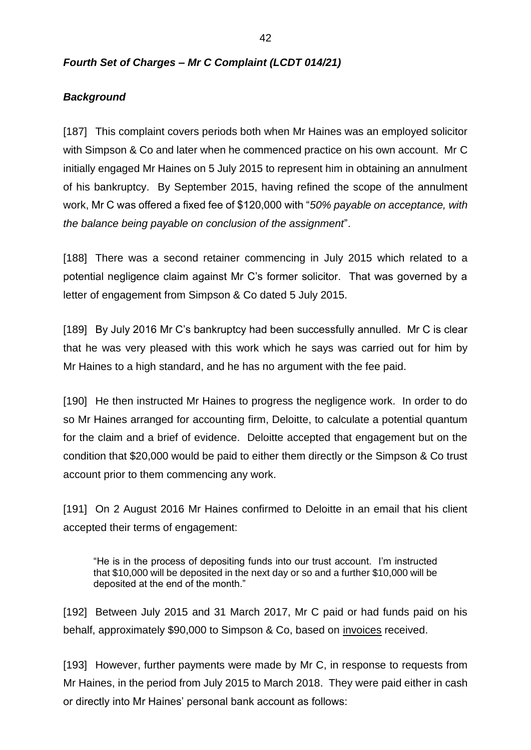# *Fourth Set of Charges – Mr C Complaint (LCDT 014/21)*

# *Background*

[187] This complaint covers periods both when Mr Haines was an employed solicitor with Simpson & Co and later when he commenced practice on his own account. Mr C initially engaged Mr Haines on 5 July 2015 to represent him in obtaining an annulment of his bankruptcy. By September 2015, having refined the scope of the annulment work, Mr C was offered a fixed fee of \$120,000 with "*50% payable on acceptance, with the balance being payable on conclusion of the assignment*".

[188] There was a second retainer commencing in July 2015 which related to a potential negligence claim against Mr C's former solicitor. That was governed by a letter of engagement from Simpson & Co dated 5 July 2015.

[189] By July 2016 Mr C's bankruptcy had been successfully annulled. Mr C is clear that he was very pleased with this work which he says was carried out for him by Mr Haines to a high standard, and he has no argument with the fee paid.

[190] He then instructed Mr Haines to progress the negligence work. In order to do so Mr Haines arranged for accounting firm, Deloitte, to calculate a potential quantum for the claim and a brief of evidence. Deloitte accepted that engagement but on the condition that \$20,000 would be paid to either them directly or the Simpson & Co trust account prior to them commencing any work.

[191] On 2 August 2016 Mr Haines confirmed to Deloitte in an email that his client accepted their terms of engagement:

"He is in the process of depositing funds into our trust account. I'm instructed that \$10,000 will be deposited in the next day or so and a further \$10,000 will be deposited at the end of the month."

[192] Between July 2015 and 31 March 2017, Mr C paid or had funds paid on his behalf, approximately \$90,000 to Simpson & Co, based on invoices received.

[193] However, further payments were made by Mr C, in response to requests from Mr Haines, in the period from July 2015 to March 2018. They were paid either in cash or directly into Mr Haines' personal bank account as follows: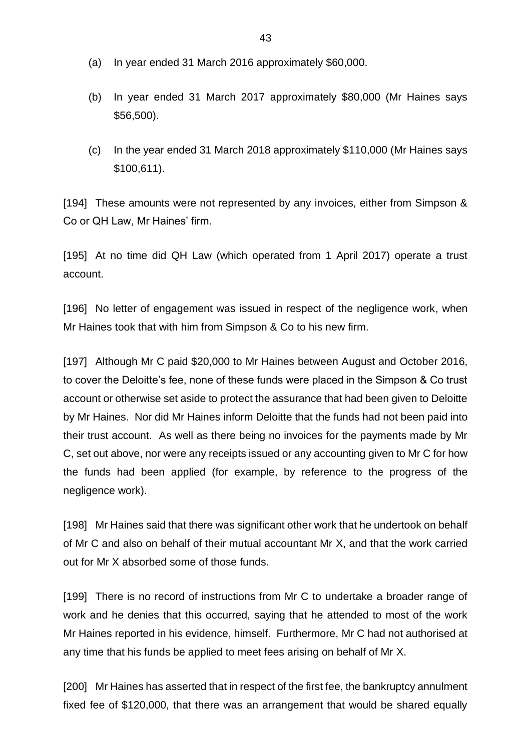- (a) In year ended 31 March 2016 approximately \$60,000.
- (b) In year ended 31 March 2017 approximately \$80,000 (Mr Haines says \$56,500).
- (c) In the year ended 31 March 2018 approximately \$110,000 (Mr Haines says \$100,611).

[194] These amounts were not represented by any invoices, either from Simpson & Co or QH Law, Mr Haines' firm.

[195] At no time did QH Law (which operated from 1 April 2017) operate a trust account.

[196] No letter of engagement was issued in respect of the negligence work, when Mr Haines took that with him from Simpson & Co to his new firm.

[197] Although Mr C paid \$20,000 to Mr Haines between August and October 2016, to cover the Deloitte's fee, none of these funds were placed in the Simpson & Co trust account or otherwise set aside to protect the assurance that had been given to Deloitte by Mr Haines. Nor did Mr Haines inform Deloitte that the funds had not been paid into their trust account. As well as there being no invoices for the payments made by Mr C, set out above, nor were any receipts issued or any accounting given to Mr C for how the funds had been applied (for example, by reference to the progress of the negligence work).

[198] Mr Haines said that there was significant other work that he undertook on behalf of Mr C and also on behalf of their mutual accountant Mr X, and that the work carried out for Mr X absorbed some of those funds.

[199] There is no record of instructions from Mr C to undertake a broader range of work and he denies that this occurred, saying that he attended to most of the work Mr Haines reported in his evidence, himself. Furthermore, Mr C had not authorised at any time that his funds be applied to meet fees arising on behalf of Mr X.

[200] Mr Haines has asserted that in respect of the first fee, the bankruptcy annulment fixed fee of \$120,000, that there was an arrangement that would be shared equally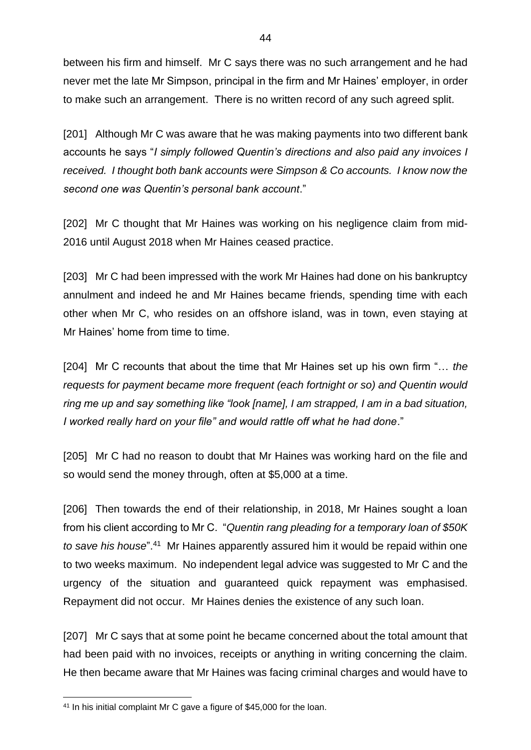between his firm and himself. Mr C says there was no such arrangement and he had never met the late Mr Simpson, principal in the firm and Mr Haines' employer, in order to make such an arrangement. There is no written record of any such agreed split.

[201] Although Mr C was aware that he was making payments into two different bank accounts he says "*I simply followed Quentin's directions and also paid any invoices I received. I thought both bank accounts were Simpson & Co accounts. I know now the second one was Quentin's personal bank account*."

[202] Mr C thought that Mr Haines was working on his negligence claim from mid-2016 until August 2018 when Mr Haines ceased practice.

[203] Mr C had been impressed with the work Mr Haines had done on his bankruptcy annulment and indeed he and Mr Haines became friends, spending time with each other when Mr C, who resides on an offshore island, was in town, even staying at Mr Haines' home from time to time.

[204] Mr C recounts that about the time that Mr Haines set up his own firm "… *the requests for payment became more frequent (each fortnight or so) and Quentin would ring me up and say something like "look [name], I am strapped, I am in a bad situation, I worked really hard on your file" and would rattle off what he had done*."

[205] Mr C had no reason to doubt that Mr Haines was working hard on the file and so would send the money through, often at \$5,000 at a time.

[206] Then towards the end of their relationship, in 2018, Mr Haines sought a loan from his client according to Mr C. "*Quentin rang pleading for a temporary loan of \$50K to save his house*".<sup>41</sup> Mr Haines apparently assured him it would be repaid within one to two weeks maximum. No independent legal advice was suggested to Mr C and the urgency of the situation and guaranteed quick repayment was emphasised. Repayment did not occur. Mr Haines denies the existence of any such loan.

[207] Mr C says that at some point he became concerned about the total amount that had been paid with no invoices, receipts or anything in writing concerning the claim. He then became aware that Mr Haines was facing criminal charges and would have to

<sup>41</sup> In his initial complaint Mr C gave a figure of \$45,000 for the loan.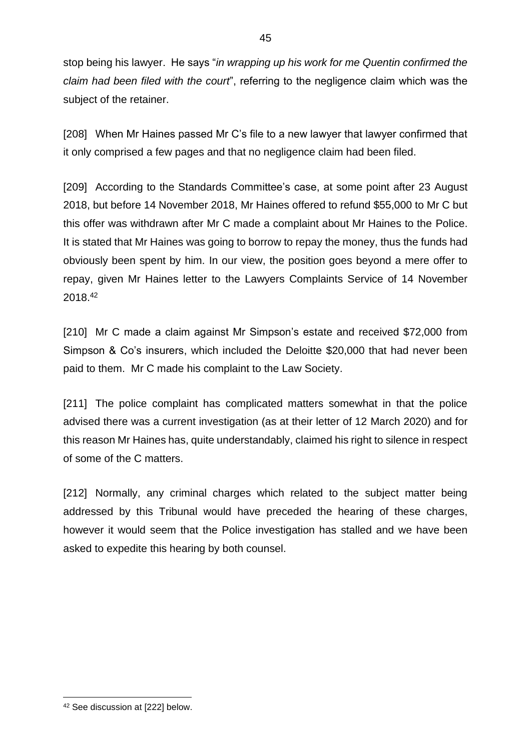stop being his lawyer. He says "*in wrapping up his work for me Quentin confirmed the claim had been filed with the court*", referring to the negligence claim which was the subject of the retainer.

[208] When Mr Haines passed Mr C's file to a new lawyer that lawyer confirmed that it only comprised a few pages and that no negligence claim had been filed.

[209] According to the Standards Committee's case, at some point after 23 August 2018, but before 14 November 2018, Mr Haines offered to refund \$55,000 to Mr C but this offer was withdrawn after Mr C made a complaint about Mr Haines to the Police. It is stated that Mr Haines was going to borrow to repay the money, thus the funds had obviously been spent by him. In our view, the position goes beyond a mere offer to repay, given Mr Haines letter to the Lawyers Complaints Service of 14 November 2018. 42

[210] Mr C made a claim against Mr Simpson's estate and received \$72,000 from Simpson & Co's insurers, which included the Deloitte \$20,000 that had never been paid to them. Mr C made his complaint to the Law Society.

[211] The police complaint has complicated matters somewhat in that the police advised there was a current investigation (as at their letter of 12 March 2020) and for this reason Mr Haines has, quite understandably, claimed his right to silence in respect of some of the C matters.

[212] Normally, any criminal charges which related to the subject matter being addressed by this Tribunal would have preceded the hearing of these charges, however it would seem that the Police investigation has stalled and we have been asked to expedite this hearing by both counsel.

<sup>42</sup> See discussion at [222] below.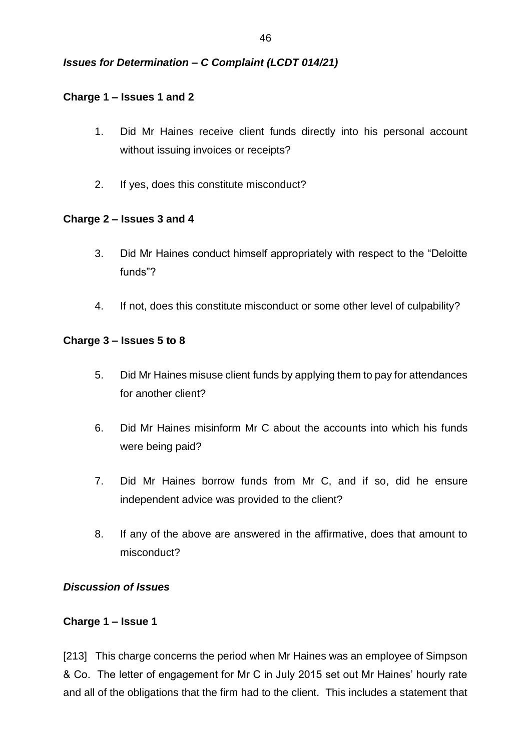# *Issues for Determination – C Complaint (LCDT 014/21)*

## **Charge 1 – Issues 1 and 2**

- 1. Did Mr Haines receive client funds directly into his personal account without issuing invoices or receipts?
- 2. If yes, does this constitute misconduct?

# **Charge 2 – Issues 3 and 4**

- 3. Did Mr Haines conduct himself appropriately with respect to the "Deloitte funds"?
- 4. If not, does this constitute misconduct or some other level of culpability?

# **Charge 3 – Issues 5 to 8**

- 5. Did Mr Haines misuse client funds by applying them to pay for attendances for another client?
- 6. Did Mr Haines misinform Mr C about the accounts into which his funds were being paid?
- 7. Did Mr Haines borrow funds from Mr C, and if so, did he ensure independent advice was provided to the client?
- 8. If any of the above are answered in the affirmative, does that amount to misconduct?

# *Discussion of Issues*

### **Charge 1 – Issue 1**

[213] This charge concerns the period when Mr Haines was an employee of Simpson & Co. The letter of engagement for Mr C in July 2015 set out Mr Haines' hourly rate and all of the obligations that the firm had to the client. This includes a statement that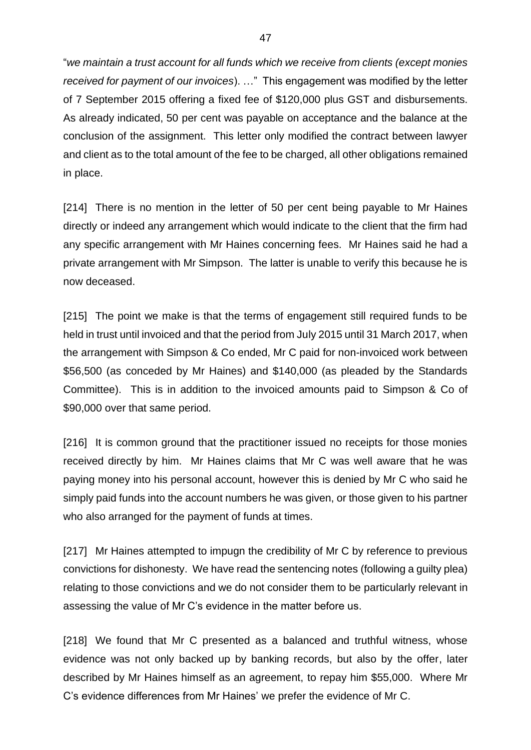"*we maintain a trust account for all funds which we receive from clients (except monies received for payment of our invoices*). …" This engagement was modified by the letter of 7 September 2015 offering a fixed fee of \$120,000 plus GST and disbursements. As already indicated, 50 per cent was payable on acceptance and the balance at the conclusion of the assignment. This letter only modified the contract between lawyer and client as to the total amount of the fee to be charged, all other obligations remained in place.

[214] There is no mention in the letter of 50 per cent being payable to Mr Haines directly or indeed any arrangement which would indicate to the client that the firm had any specific arrangement with Mr Haines concerning fees. Mr Haines said he had a private arrangement with Mr Simpson. The latter is unable to verify this because he is now deceased.

[215] The point we make is that the terms of engagement still required funds to be held in trust until invoiced and that the period from July 2015 until 31 March 2017, when the arrangement with Simpson & Co ended, Mr C paid for non-invoiced work between \$56,500 (as conceded by Mr Haines) and \$140,000 (as pleaded by the Standards Committee). This is in addition to the invoiced amounts paid to Simpson & Co of \$90,000 over that same period.

[216] It is common ground that the practitioner issued no receipts for those monies received directly by him. Mr Haines claims that Mr C was well aware that he was paying money into his personal account, however this is denied by Mr C who said he simply paid funds into the account numbers he was given, or those given to his partner who also arranged for the payment of funds at times.

[217] Mr Haines attempted to impugn the credibility of Mr C by reference to previous convictions for dishonesty. We have read the sentencing notes (following a guilty plea) relating to those convictions and we do not consider them to be particularly relevant in assessing the value of Mr C's evidence in the matter before us.

[218] We found that Mr C presented as a balanced and truthful witness, whose evidence was not only backed up by banking records, but also by the offer, later described by Mr Haines himself as an agreement, to repay him \$55,000. Where Mr C's evidence differences from Mr Haines' we prefer the evidence of Mr C.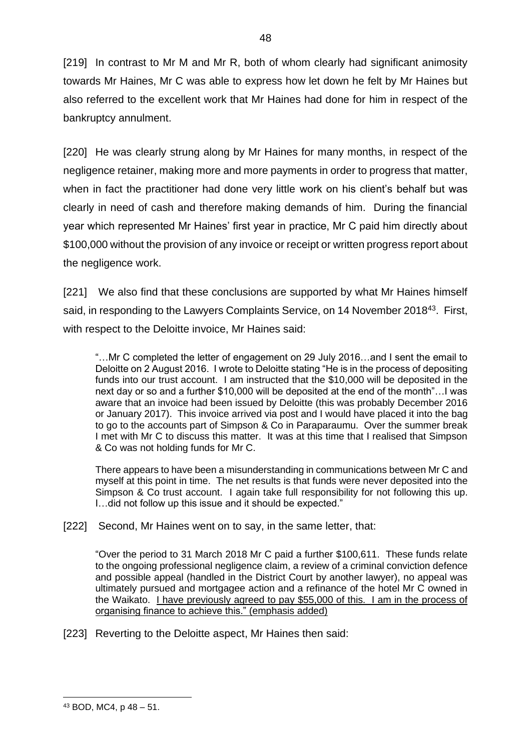[219] In contrast to Mr M and Mr R, both of whom clearly had significant animosity towards Mr Haines, Mr C was able to express how let down he felt by Mr Haines but also referred to the excellent work that Mr Haines had done for him in respect of the bankruptcy annulment.

[220] He was clearly strung along by Mr Haines for many months, in respect of the negligence retainer, making more and more payments in order to progress that matter, when in fact the practitioner had done very little work on his client's behalf but was clearly in need of cash and therefore making demands of him. During the financial year which represented Mr Haines' first year in practice, Mr C paid him directly about \$100,000 without the provision of any invoice or receipt or written progress report about the negligence work.

[221] We also find that these conclusions are supported by what Mr Haines himself said, in responding to the Lawyers Complaints Service, on 14 November 2018<sup>43</sup>. First, with respect to the Deloitte invoice, Mr Haines said:

"…Mr C completed the letter of engagement on 29 July 2016…and I sent the email to Deloitte on 2 August 2016. I wrote to Deloitte stating "He is in the process of depositing funds into our trust account. I am instructed that the \$10,000 will be deposited in the next day or so and a further \$10,000 will be deposited at the end of the month"…I was aware that an invoice had been issued by Deloitte (this was probably December 2016 or January 2017). This invoice arrived via post and I would have placed it into the bag to go to the accounts part of Simpson & Co in Paraparaumu. Over the summer break I met with Mr C to discuss this matter. It was at this time that I realised that Simpson & Co was not holding funds for Mr C.

There appears to have been a misunderstanding in communications between Mr C and myself at this point in time. The net results is that funds were never deposited into the Simpson & Co trust account. I again take full responsibility for not following this up. I…did not follow up this issue and it should be expected."

[222] Second, Mr Haines went on to say, in the same letter, that:

"Over the period to 31 March 2018 Mr C paid a further \$100,611. These funds relate to the ongoing professional negligence claim, a review of a criminal conviction defence and possible appeal (handled in the District Court by another lawyer), no appeal was ultimately pursued and mortgagee action and a refinance of the hotel Mr C owned in the Waikato. *I have previously agreed to pay \$55,000 of this. I am in the process of* organising finance to achieve this." (emphasis added)

[223] Reverting to the Deloitte aspect, Mr Haines then said:

<sup>43</sup> BOD, MC4, p 48 – 51.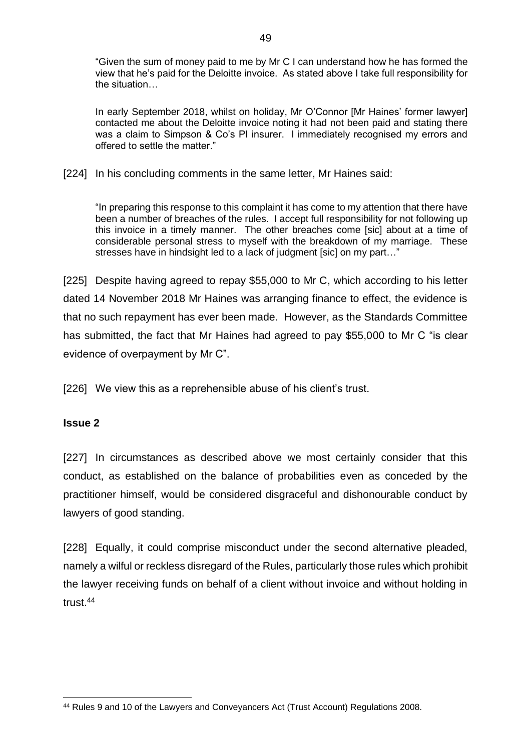"Given the sum of money paid to me by Mr C I can understand how he has formed the view that he's paid for the Deloitte invoice. As stated above I take full responsibility for the situation…

In early September 2018, whilst on holiday, Mr O'Connor [Mr Haines' former lawyer] contacted me about the Deloitte invoice noting it had not been paid and stating there was a claim to Simpson & Co's PI insurer. I immediately recognised my errors and offered to settle the matter."

[224] In his concluding comments in the same letter, Mr Haines said:

"In preparing this response to this complaint it has come to my attention that there have been a number of breaches of the rules. I accept full responsibility for not following up this invoice in a timely manner. The other breaches come [sic] about at a time of considerable personal stress to myself with the breakdown of my marriage. These stresses have in hindsight led to a lack of judgment [sic] on my part…"

[225] Despite having agreed to repay \$55,000 to Mr C, which according to his letter dated 14 November 2018 Mr Haines was arranging finance to effect, the evidence is that no such repayment has ever been made. However, as the Standards Committee has submitted, the fact that Mr Haines had agreed to pay \$55,000 to Mr C "is clear evidence of overpayment by Mr C".

[226] We view this as a reprehensible abuse of his client's trust.

### **Issue 2**

[227] In circumstances as described above we most certainly consider that this conduct, as established on the balance of probabilities even as conceded by the practitioner himself, would be considered disgraceful and dishonourable conduct by lawyers of good standing.

[228] Equally, it could comprise misconduct under the second alternative pleaded, namely a wilful or reckless disregard of the Rules, particularly those rules which prohibit the lawyer receiving funds on behalf of a client without invoice and without holding in trust.<sup>44</sup>

<sup>44</sup> Rules 9 and 10 of the Lawyers and Conveyancers Act (Trust Account) Regulations 2008.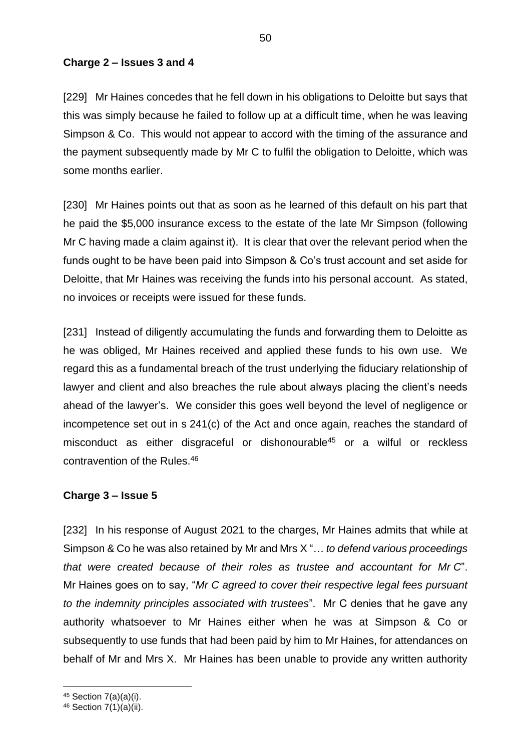### **Charge 2 – Issues 3 and 4**

[229] Mr Haines concedes that he fell down in his obligations to Deloitte but says that this was simply because he failed to follow up at a difficult time, when he was leaving Simpson & Co. This would not appear to accord with the timing of the assurance and the payment subsequently made by Mr C to fulfil the obligation to Deloitte, which was some months earlier.

[230] Mr Haines points out that as soon as he learned of this default on his part that he paid the \$5,000 insurance excess to the estate of the late Mr Simpson (following Mr C having made a claim against it). It is clear that over the relevant period when the funds ought to be have been paid into Simpson & Co's trust account and set aside for Deloitte, that Mr Haines was receiving the funds into his personal account. As stated, no invoices or receipts were issued for these funds.

[231] Instead of diligently accumulating the funds and forwarding them to Deloitte as he was obliged, Mr Haines received and applied these funds to his own use. We regard this as a fundamental breach of the trust underlying the fiduciary relationship of lawyer and client and also breaches the rule about always placing the client's needs ahead of the lawyer's. We consider this goes well beyond the level of negligence or incompetence set out in s 241(c) of the Act and once again, reaches the standard of misconduct as either disgraceful or dishonourable<sup>45</sup> or a wilful or reckless contravention of the Rules.<sup>46</sup>

### **Charge 3 – Issue 5**

[232] In his response of August 2021 to the charges, Mr Haines admits that while at Simpson & Co he was also retained by Mr and Mrs X "… *to defend various proceedings that were created because of their roles as trustee and accountant for Mr C*". Mr Haines goes on to say, "*Mr C agreed to cover their respective legal fees pursuant to the indemnity principles associated with trustees*". Mr C denies that he gave any authority whatsoever to Mr Haines either when he was at Simpson & Co or subsequently to use funds that had been paid by him to Mr Haines, for attendances on behalf of Mr and Mrs X. Mr Haines has been unable to provide any written authority

<sup>45</sup> Section 7(a)(a)(i).

 $46$  Section  $7(1)(a)(ii)$ .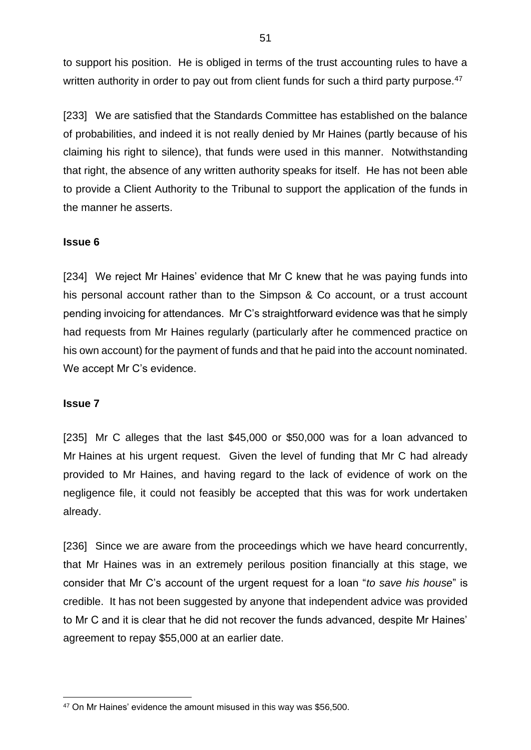to support his position. He is obliged in terms of the trust accounting rules to have a written authority in order to pay out from client funds for such a third party purpose.<sup>47</sup>

[233] We are satisfied that the Standards Committee has established on the balance of probabilities, and indeed it is not really denied by Mr Haines (partly because of his claiming his right to silence), that funds were used in this manner. Notwithstanding that right, the absence of any written authority speaks for itself. He has not been able to provide a Client Authority to the Tribunal to support the application of the funds in the manner he asserts.

# **Issue 6**

[234] We reject Mr Haines' evidence that Mr C knew that he was paying funds into his personal account rather than to the Simpson & Co account, or a trust account pending invoicing for attendances. Mr C's straightforward evidence was that he simply had requests from Mr Haines regularly (particularly after he commenced practice on his own account) for the payment of funds and that he paid into the account nominated. We accept Mr C's evidence.

### **Issue 7**

[235] Mr C alleges that the last \$45,000 or \$50,000 was for a loan advanced to Mr Haines at his urgent request. Given the level of funding that Mr C had already provided to Mr Haines, and having regard to the lack of evidence of work on the negligence file, it could not feasibly be accepted that this was for work undertaken already.

[236] Since we are aware from the proceedings which we have heard concurrently, that Mr Haines was in an extremely perilous position financially at this stage, we consider that Mr C's account of the urgent request for a loan "*to save his house*" is credible. It has not been suggested by anyone that independent advice was provided to Mr C and it is clear that he did not recover the funds advanced, despite Mr Haines' agreement to repay \$55,000 at an earlier date.

<sup>47</sup> On Mr Haines' evidence the amount misused in this way was \$56,500.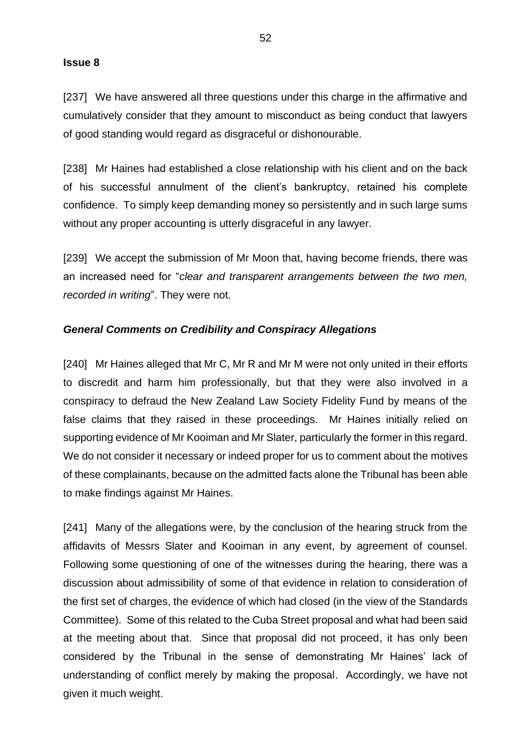### **Issue 8**

[237] We have answered all three questions under this charge in the affirmative and cumulatively consider that they amount to misconduct as being conduct that lawyers of good standing would regard as disgraceful or dishonourable.

[238] Mr Haines had established a close relationship with his client and on the back of his successful annulment of the client's bankruptcy, retained his complete confidence. To simply keep demanding money so persistently and in such large sums without any proper accounting is utterly disgraceful in any lawyer.

[239] We accept the submission of Mr Moon that, having become friends, there was an increased need for "*clear and transparent arrangements between the two men, recorded in writing*". They were not.

# *General Comments on Credibility and Conspiracy Allegations*

[240] Mr Haines alleged that Mr C, Mr R and Mr M were not only united in their efforts to discredit and harm him professionally, but that they were also involved in a conspiracy to defraud the New Zealand Law Society Fidelity Fund by means of the false claims that they raised in these proceedings. Mr Haines initially relied on supporting evidence of Mr Kooiman and Mr Slater, particularly the former in this regard. We do not consider it necessary or indeed proper for us to comment about the motives of these complainants, because on the admitted facts alone the Tribunal has been able to make findings against Mr Haines.

[241] Many of the allegations were, by the conclusion of the hearing struck from the affidavits of Messrs Slater and Kooiman in any event, by agreement of counsel. Following some questioning of one of the witnesses during the hearing, there was a discussion about admissibility of some of that evidence in relation to consideration of the first set of charges, the evidence of which had closed (in the view of the Standards Committee). Some of this related to the Cuba Street proposal and what had been said at the meeting about that. Since that proposal did not proceed, it has only been considered by the Tribunal in the sense of demonstrating Mr Haines' lack of understanding of conflict merely by making the proposal. Accordingly, we have not given it much weight.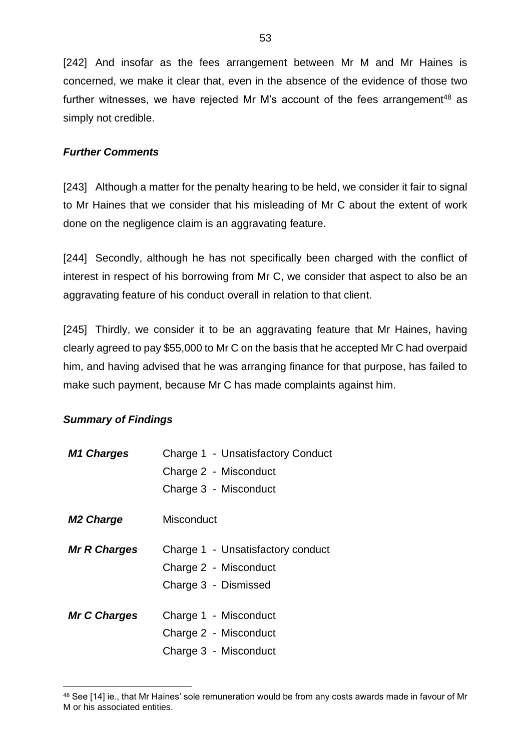[242] And insofar as the fees arrangement between Mr M and Mr Haines is concerned, we make it clear that, even in the absence of the evidence of those two further witnesses, we have rejected Mr M's account of the fees arrangement<sup>48</sup> as simply not credible.

# *Further Comments*

[243] Although a matter for the penalty hearing to be held, we consider it fair to signal to Mr Haines that we consider that his misleading of Mr C about the extent of work done on the negligence claim is an aggravating feature.

[244] Secondly, although he has not specifically been charged with the conflict of interest in respect of his borrowing from Mr C, we consider that aspect to also be an aggravating feature of his conduct overall in relation to that client.

[245] Thirdly, we consider it to be an aggravating feature that Mr Haines, having clearly agreed to pay \$55,000 to Mr C on the basis that he accepted Mr C had overpaid him, and having advised that he was arranging finance for that purpose, has failed to make such payment, because Mr C has made complaints against him.

### *Summary of Findings*

| <b>M1 Charges</b>   | Charge 1 - Unsatisfactory Conduct |
|---------------------|-----------------------------------|
|                     | Charge 2 - Misconduct             |
|                     | Charge 3 - Misconduct             |
| <b>M2 Charge</b>    | Misconduct                        |
| <b>Mr R Charges</b> | Charge 1 - Unsatisfactory conduct |
|                     | Charge 2 - Misconduct             |
|                     | Charge 3 - Dismissed              |
|                     |                                   |
| <b>Mr C Charges</b> | Charge 1 - Misconduct             |
|                     | Charge 2 - Misconduct             |
|                     | Charge 3 - Misconduct             |
|                     |                                   |

<sup>48</sup> See [14] ie., that Mr Haines' sole remuneration would be from any costs awards made in favour of Mr M or his associated entities.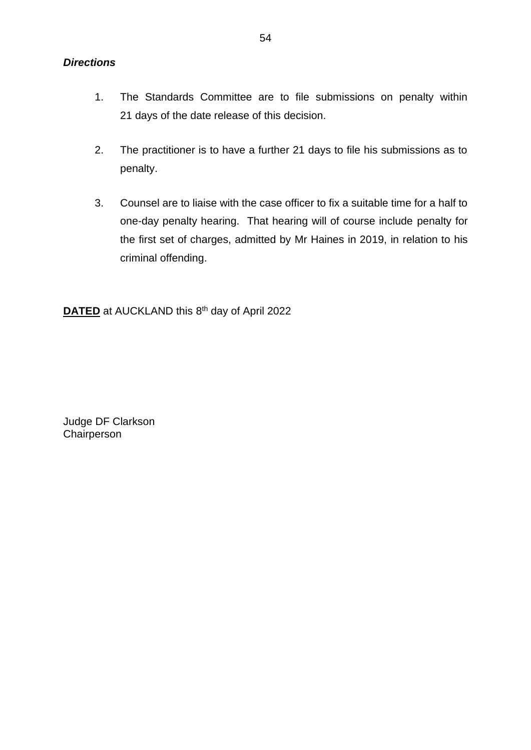## *Directions*

- 1. The Standards Committee are to file submissions on penalty within 21 days of the date release of this decision.
- 2. The practitioner is to have a further 21 days to file his submissions as to penalty.
- 3. Counsel are to liaise with the case officer to fix a suitable time for a half to one-day penalty hearing. That hearing will of course include penalty for the first set of charges, admitted by Mr Haines in 2019, in relation to his criminal offending.

**DATED** at AUCKLAND this 8<sup>th</sup> day of April 2022

Judge DF Clarkson **Chairperson**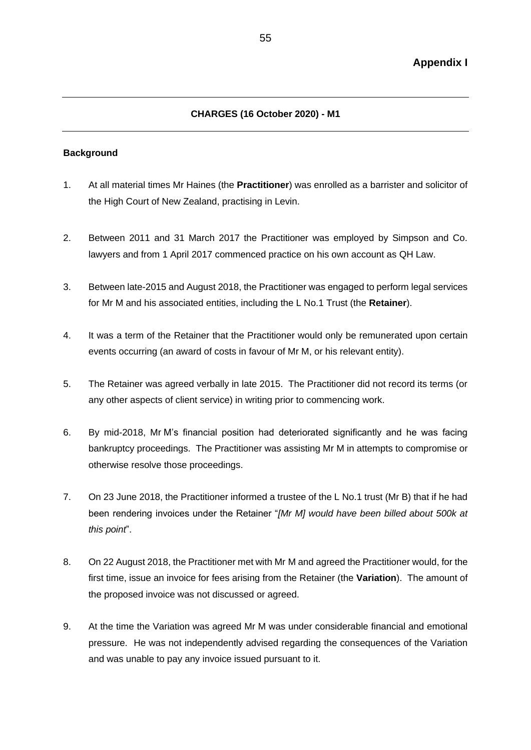### **CHARGES (16 October 2020) - M1**

#### **Background**

- 1. At all material times Mr Haines (the **Practitioner**) was enrolled as a barrister and solicitor of the High Court of New Zealand, practising in Levin.
- 2. Between 2011 and 31 March 2017 the Practitioner was employed by Simpson and Co. lawyers and from 1 April 2017 commenced practice on his own account as QH Law.
- 3. Between late-2015 and August 2018, the Practitioner was engaged to perform legal services for Mr M and his associated entities, including the L No.1 Trust (the **Retainer**).
- 4. It was a term of the Retainer that the Practitioner would only be remunerated upon certain events occurring (an award of costs in favour of Mr M, or his relevant entity).
- 5. The Retainer was agreed verbally in late 2015. The Practitioner did not record its terms (or any other aspects of client service) in writing prior to commencing work.
- 6. By mid-2018, Mr M's financial position had deteriorated significantly and he was facing bankruptcy proceedings. The Practitioner was assisting Mr M in attempts to compromise or otherwise resolve those proceedings.
- 7. On 23 June 2018, the Practitioner informed a trustee of the L No.1 trust (Mr B) that if he had been rendering invoices under the Retainer "*[Mr M] would have been billed about 500k at this point*".
- 8. On 22 August 2018, the Practitioner met with Mr M and agreed the Practitioner would, for the first time, issue an invoice for fees arising from the Retainer (the **Variation**). The amount of the proposed invoice was not discussed or agreed.
- 9. At the time the Variation was agreed Mr M was under considerable financial and emotional pressure. He was not independently advised regarding the consequences of the Variation and was unable to pay any invoice issued pursuant to it.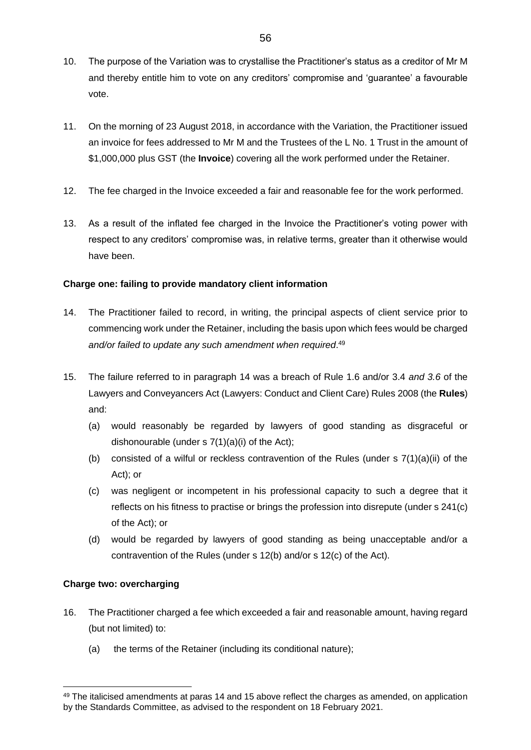- 10. The purpose of the Variation was to crystallise the Practitioner's status as a creditor of Mr M and thereby entitle him to vote on any creditors' compromise and 'guarantee' a favourable vote.
- 11. On the morning of 23 August 2018, in accordance with the Variation, the Practitioner issued an invoice for fees addressed to Mr M and the Trustees of the L No. 1 Trust in the amount of \$1,000,000 plus GST (the **Invoice**) covering all the work performed under the Retainer.
- 12. The fee charged in the Invoice exceeded a fair and reasonable fee for the work performed.
- 13. As a result of the inflated fee charged in the Invoice the Practitioner's voting power with respect to any creditors' compromise was, in relative terms, greater than it otherwise would have been.

### **Charge one: failing to provide mandatory client information**

- 14. The Practitioner failed to record, in writing, the principal aspects of client service prior to commencing work under the Retainer, including the basis upon which fees would be charged *and/or failed to update any such amendment when required*. 49
- 15. The failure referred to in paragraph 14 was a breach of Rule 1.6 and/or 3.4 *and 3.6* of the Lawyers and Conveyancers Act (Lawyers: Conduct and Client Care) Rules 2008 (the **Rules**) and:
	- (a) would reasonably be regarded by lawyers of good standing as disgraceful or dishonourable (under s 7(1)(a)(i) of the Act);
	- (b) consisted of a wilful or reckless contravention of the Rules (under  $\frac{s(1)(a)(ii)}{i}$  of the Act); or
	- (c) was negligent or incompetent in his professional capacity to such a degree that it reflects on his fitness to practise or brings the profession into disrepute (under s 241(c) of the Act); or
	- (d) would be regarded by lawyers of good standing as being unacceptable and/or a contravention of the Rules (under s 12(b) and/or s 12(c) of the Act).

### **Charge two: overcharging**

- 16. The Practitioner charged a fee which exceeded a fair and reasonable amount, having regard (but not limited) to:
	- (a) the terms of the Retainer (including its conditional nature);

<sup>49</sup> The italicised amendments at paras 14 and 15 above reflect the charges as amended, on application by the Standards Committee, as advised to the respondent on 18 February 2021.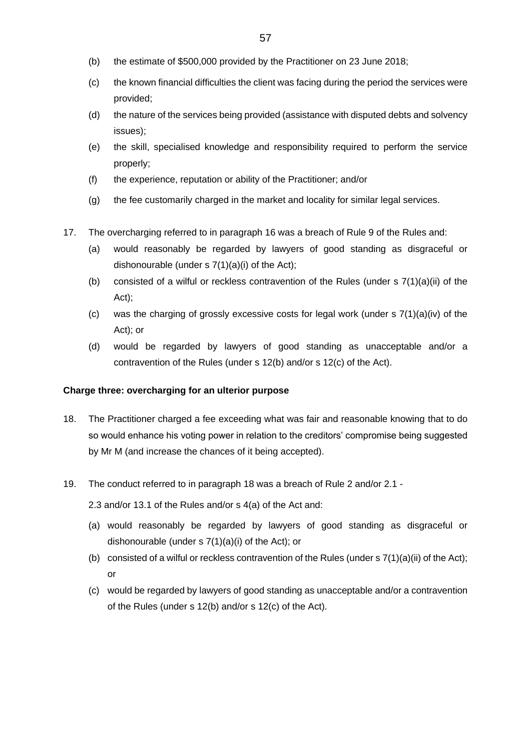- (b) the estimate of \$500,000 provided by the Practitioner on 23 June 2018;
- (c) the known financial difficulties the client was facing during the period the services were provided;
- (d) the nature of the services being provided (assistance with disputed debts and solvency issues);
- (e) the skill, specialised knowledge and responsibility required to perform the service properly;
- (f) the experience, reputation or ability of the Practitioner; and/or
- (g) the fee customarily charged in the market and locality for similar legal services.
- 17. The overcharging referred to in paragraph 16 was a breach of Rule 9 of the Rules and:
	- (a) would reasonably be regarded by lawyers of good standing as disgraceful or dishonourable (under s 7(1)(a)(i) of the Act);
	- (b) consisted of a wilful or reckless contravention of the Rules (under s 7(1)(a)(ii) of the Act);
	- (c) was the charging of grossly excessive costs for legal work (under  $\frac{1}{2}(1)(a)(iv)$  of the Act); or
	- (d) would be regarded by lawyers of good standing as unacceptable and/or a contravention of the Rules (under s 12(b) and/or s 12(c) of the Act).

#### **Charge three: overcharging for an ulterior purpose**

- 18. The Practitioner charged a fee exceeding what was fair and reasonable knowing that to do so would enhance his voting power in relation to the creditors' compromise being suggested by Mr M (and increase the chances of it being accepted).
- 19. The conduct referred to in paragraph 18 was a breach of Rule 2 and/or 2.1 -

2.3 and/or 13.1 of the Rules and/or s 4(a) of the Act and:

- (a) would reasonably be regarded by lawyers of good standing as disgraceful or dishonourable (under s 7(1)(a)(i) of the Act); or
- (b) consisted of a wilful or reckless contravention of the Rules (under  $s \, \mathcal{I}(1)(a)(ii)$  of the Act); or
- (c) would be regarded by lawyers of good standing as unacceptable and/or a contravention of the Rules (under s 12(b) and/or s 12(c) of the Act).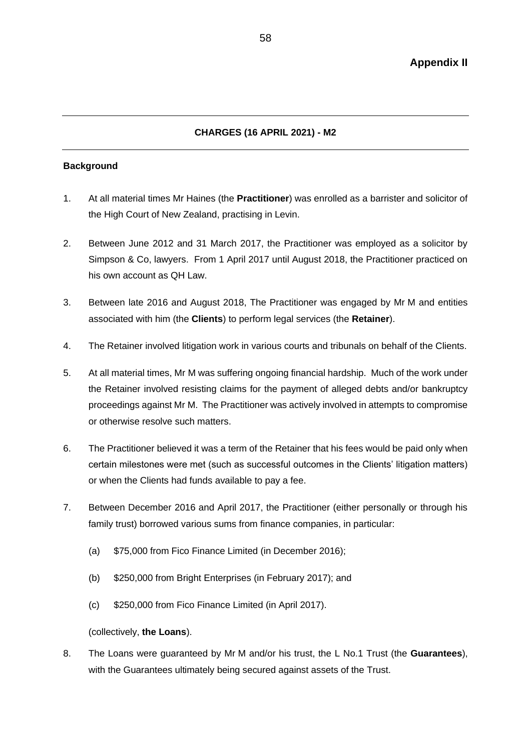#### **CHARGES (16 APRIL 2021) - M2**

#### **Background**

- 1. At all material times Mr Haines (the **Practitioner**) was enrolled as a barrister and solicitor of the High Court of New Zealand, practising in Levin.
- 2. Between June 2012 and 31 March 2017, the Practitioner was employed as a solicitor by Simpson & Co, lawyers. From 1 April 2017 until August 2018, the Practitioner practiced on his own account as QH Law.
- 3. Between late 2016 and August 2018, The Practitioner was engaged by Mr M and entities associated with him (the **Clients**) to perform legal services (the **Retainer**).
- 4. The Retainer involved litigation work in various courts and tribunals on behalf of the Clients.
- 5. At all material times, Mr M was suffering ongoing financial hardship. Much of the work under the Retainer involved resisting claims for the payment of alleged debts and/or bankruptcy proceedings against Mr M. The Practitioner was actively involved in attempts to compromise or otherwise resolve such matters.
- 6. The Practitioner believed it was a term of the Retainer that his fees would be paid only when certain milestones were met (such as successful outcomes in the Clients' litigation matters) or when the Clients had funds available to pay a fee.
- 7. Between December 2016 and April 2017, the Practitioner (either personally or through his family trust) borrowed various sums from finance companies, in particular:
	- (a) \$75,000 from Fico Finance Limited (in December 2016);
	- (b) \$250,000 from Bright Enterprises (in February 2017); and
	- (c) \$250,000 from Fico Finance Limited (in April 2017).

(collectively, **the Loans**).

8. The Loans were guaranteed by Mr M and/or his trust, the L No.1 Trust (the **Guarantees**), with the Guarantees ultimately being secured against assets of the Trust.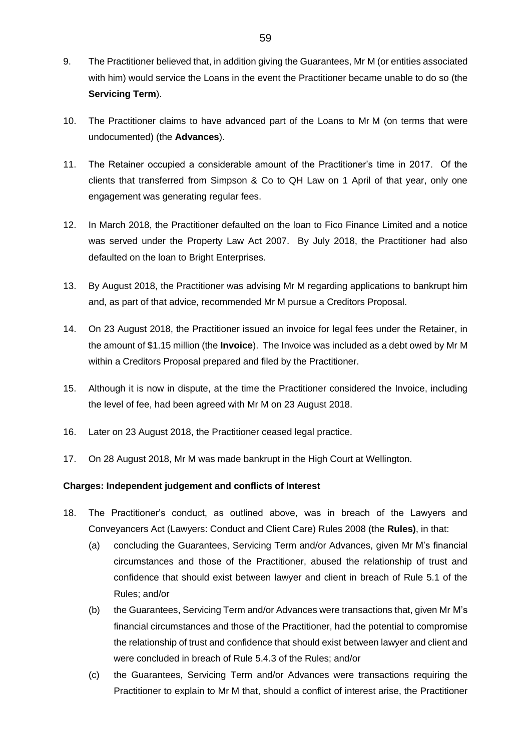- 9. The Practitioner believed that, in addition giving the Guarantees, Mr M (or entities associated with him) would service the Loans in the event the Practitioner became unable to do so (the **Servicing Term**).
- 10. The Practitioner claims to have advanced part of the Loans to Mr M (on terms that were undocumented) (the **Advances**).
- 11. The Retainer occupied a considerable amount of the Practitioner's time in 2017. Of the clients that transferred from Simpson & Co to QH Law on 1 April of that year, only one engagement was generating regular fees.
- 12. In March 2018, the Practitioner defaulted on the loan to Fico Finance Limited and a notice was served under the Property Law Act 2007. By July 2018, the Practitioner had also defaulted on the loan to Bright Enterprises.
- 13. By August 2018, the Practitioner was advising Mr M regarding applications to bankrupt him and, as part of that advice, recommended Mr M pursue a Creditors Proposal.
- 14. On 23 August 2018, the Practitioner issued an invoice for legal fees under the Retainer, in the amount of \$1.15 million (the **Invoice**). The Invoice was included as a debt owed by Mr M within a Creditors Proposal prepared and filed by the Practitioner.
- 15. Although it is now in dispute, at the time the Practitioner considered the Invoice, including the level of fee, had been agreed with Mr M on 23 August 2018.
- 16. Later on 23 August 2018, the Practitioner ceased legal practice.
- 17. On 28 August 2018, Mr M was made bankrupt in the High Court at Wellington.

#### **Charges: Independent judgement and conflicts of Interest**

- 18. The Practitioner's conduct, as outlined above, was in breach of the Lawyers and Conveyancers Act (Lawyers: Conduct and Client Care) Rules 2008 (the **Rules)**, in that:
	- (a) concluding the Guarantees, Servicing Term and/or Advances, given Mr M's financial circumstances and those of the Practitioner, abused the relationship of trust and confidence that should exist between lawyer and client in breach of Rule 5.1 of the Rules; and/or
	- (b) the Guarantees, Servicing Term and/or Advances were transactions that, given Mr M's financial circumstances and those of the Practitioner, had the potential to compromise the relationship of trust and confidence that should exist between lawyer and client and were concluded in breach of Rule 5.4.3 of the Rules; and/or
	- (c) the Guarantees, Servicing Term and/or Advances were transactions requiring the Practitioner to explain to Mr M that, should a conflict of interest arise, the Practitioner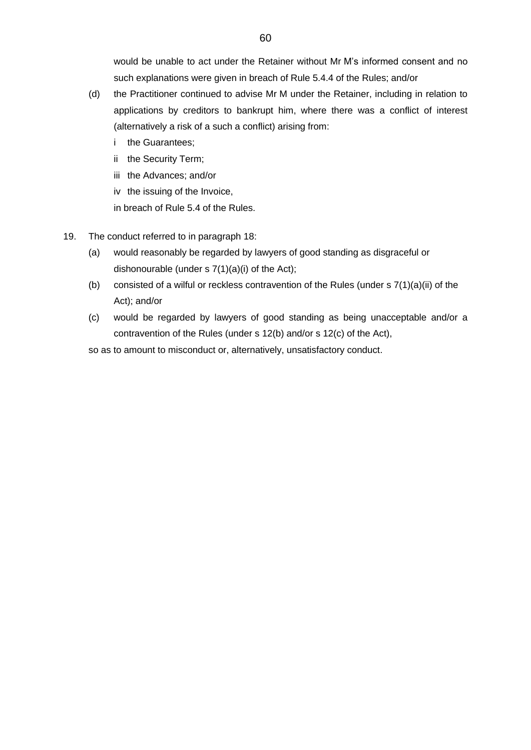would be unable to act under the Retainer without Mr M's informed consent and no such explanations were given in breach of Rule 5.4.4 of the Rules; and/or

- (d) the Practitioner continued to advise Mr M under the Retainer, including in relation to applications by creditors to bankrupt him, where there was a conflict of interest (alternatively a risk of a such a conflict) arising from:
	- i the Guarantees;
	- ii the Security Term;
	- iii the Advances; and/or
	- iv the issuing of the Invoice,

in breach of Rule 5.4 of the Rules.

- 19. The conduct referred to in paragraph 18:
	- (a) would reasonably be regarded by lawyers of good standing as disgraceful or dishonourable (under s 7(1)(a)(i) of the Act);
	- (b) consisted of a wilful or reckless contravention of the Rules (under s 7(1)(a)(ii) of the Act); and/or
	- (c) would be regarded by lawyers of good standing as being unacceptable and/or a contravention of the Rules (under s 12(b) and/or s 12(c) of the Act),

so as to amount to misconduct or, alternatively, unsatisfactory conduct.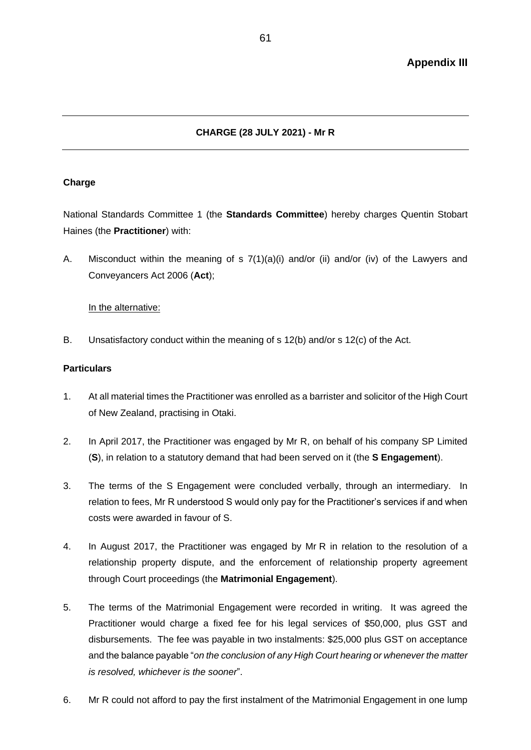#### **CHARGE (28 JULY 2021) - Mr R**

#### **Charge**

National Standards Committee 1 (the **Standards Committee**) hereby charges Quentin Stobart Haines (the **Practitioner**) with:

A. Misconduct within the meaning of s 7(1)(a)(i) and/or (ii) and/or (iv) of the Lawyers and Conveyancers Act 2006 (**Act**);

#### In the alternative:

B. Unsatisfactory conduct within the meaning of s 12(b) and/or s 12(c) of the Act.

#### **Particulars**

- 1. At all material times the Practitioner was enrolled as a barrister and solicitor of the High Court of New Zealand, practising in Otaki.
- 2. In April 2017, the Practitioner was engaged by Mr R, on behalf of his company SP Limited (**S**), in relation to a statutory demand that had been served on it (the **S Engagement**).
- 3. The terms of the S Engagement were concluded verbally, through an intermediary. In relation to fees, Mr R understood S would only pay for the Practitioner's services if and when costs were awarded in favour of S.
- 4. In August 2017, the Practitioner was engaged by Mr R in relation to the resolution of a relationship property dispute, and the enforcement of relationship property agreement through Court proceedings (the **Matrimonial Engagement**).
- 5. The terms of the Matrimonial Engagement were recorded in writing. It was agreed the Practitioner would charge a fixed fee for his legal services of \$50,000, plus GST and disbursements. The fee was payable in two instalments: \$25,000 plus GST on acceptance and the balance payable "*on the conclusion of any High Court hearing or whenever the matter is resolved, whichever is the sooner*".
- 6. Mr R could not afford to pay the first instalment of the Matrimonial Engagement in one lump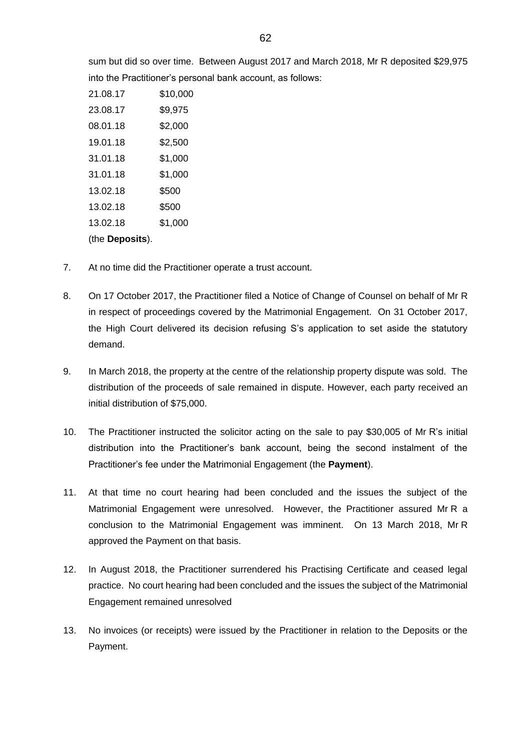sum but did so over time. Between August 2017 and March 2018, Mr R deposited \$29,975 into the Practitioner's personal bank account, as follows:

| 21.08.17        | \$10,000 |  |
|-----------------|----------|--|
| 23.08.17        | \$9,975  |  |
| 08.01.18        | \$2,000  |  |
| 19.01.18        | \$2,500  |  |
| 31.01.18        | \$1,000  |  |
| 31.01.18        | \$1.000  |  |
| 13.02.18        | \$500    |  |
| 13.02.18        | \$500    |  |
| 13.02.18        | \$1,000  |  |
| (the Deposits). |          |  |

- 7. At no time did the Practitioner operate a trust account.
- 8. On 17 October 2017, the Practitioner filed a Notice of Change of Counsel on behalf of Mr R in respect of proceedings covered by the Matrimonial Engagement. On 31 October 2017, the High Court delivered its decision refusing S's application to set aside the statutory demand.
- 9. In March 2018, the property at the centre of the relationship property dispute was sold. The distribution of the proceeds of sale remained in dispute. However, each party received an initial distribution of \$75,000.
- 10. The Practitioner instructed the solicitor acting on the sale to pay \$30,005 of Mr R's initial distribution into the Practitioner's bank account, being the second instalment of the Practitioner's fee under the Matrimonial Engagement (the **Payment**).
- 11. At that time no court hearing had been concluded and the issues the subject of the Matrimonial Engagement were unresolved. However, the Practitioner assured Mr R a conclusion to the Matrimonial Engagement was imminent. On 13 March 2018, Mr R approved the Payment on that basis.
- 12. In August 2018, the Practitioner surrendered his Practising Certificate and ceased legal practice. No court hearing had been concluded and the issues the subject of the Matrimonial Engagement remained unresolved
- 13. No invoices (or receipts) were issued by the Practitioner in relation to the Deposits or the Payment.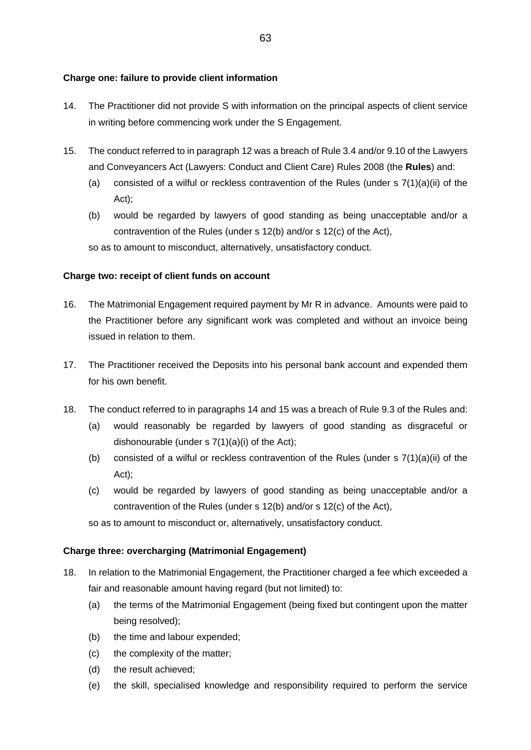### **Charge one: failure to provide client information**

- 14. The Practitioner did not provide S with information on the principal aspects of client service in writing before commencing work under the S Engagement.
- 15. The conduct referred to in paragraph 12 was a breach of Rule 3.4 and/or 9.10 of the Lawyers and Conveyancers Act (Lawyers: Conduct and Client Care) Rules 2008 (the **Rules**) and:
	- (a) consisted of a wilful or reckless contravention of the Rules (under  $\frac{s(1)(a)(ii)}{i}$  of the Act);
	- (b) would be regarded by lawyers of good standing as being unacceptable and/or a contravention of the Rules (under s 12(b) and/or s 12(c) of the Act), so as to amount to misconduct, alternatively, unsatisfactory conduct.

#### **Charge two: receipt of client funds on account**

- 16. The Matrimonial Engagement required payment by Mr R in advance. Amounts were paid to the Practitioner before any significant work was completed and without an invoice being issued in relation to them.
- 17. The Practitioner received the Deposits into his personal bank account and expended them for his own benefit.
- 18. The conduct referred to in paragraphs 14 and 15 was a breach of Rule 9.3 of the Rules and:
	- (a) would reasonably be regarded by lawyers of good standing as disgraceful or dishonourable (under s 7(1)(a)(i) of the Act);
	- (b) consisted of a wilful or reckless contravention of the Rules (under  $\frac{s(1)}{a}(i)$  of the Act);
	- (c) would be regarded by lawyers of good standing as being unacceptable and/or a contravention of the Rules (under s 12(b) and/or s 12(c) of the Act),

so as to amount to misconduct or, alternatively, unsatisfactory conduct.

#### **Charge three: overcharging (Matrimonial Engagement)**

- 18. In relation to the Matrimonial Engagement, the Practitioner charged a fee which exceeded a fair and reasonable amount having regard (but not limited) to:
	- (a) the terms of the Matrimonial Engagement (being fixed but contingent upon the matter being resolved);
	- (b) the time and labour expended;
	- (c) the complexity of the matter;
	- (d) the result achieved;
	- (e) the skill, specialised knowledge and responsibility required to perform the service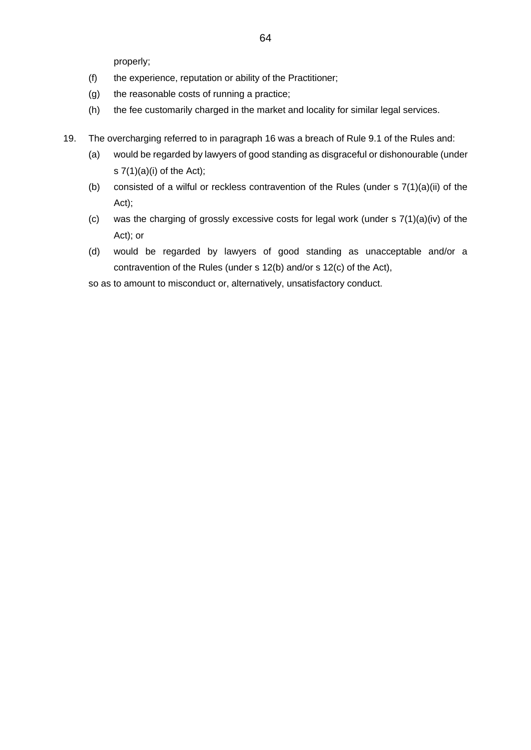properly;

- (f) the experience, reputation or ability of the Practitioner;
- (g) the reasonable costs of running a practice;
- (h) the fee customarily charged in the market and locality for similar legal services.
- 19. The overcharging referred to in paragraph 16 was a breach of Rule 9.1 of the Rules and:
	- (a) would be regarded by lawyers of good standing as disgraceful or dishonourable (under s 7(1)(a)(i) of the Act);
	- (b) consisted of a wilful or reckless contravention of the Rules (under s  $7(1)(a)(ii)$  of the Act);
	- (c) was the charging of grossly excessive costs for legal work (under s 7(1)(a)(iv) of the Act); or
	- (d) would be regarded by lawyers of good standing as unacceptable and/or a contravention of the Rules (under s 12(b) and/or s 12(c) of the Act),

so as to amount to misconduct or, alternatively, unsatisfactory conduct.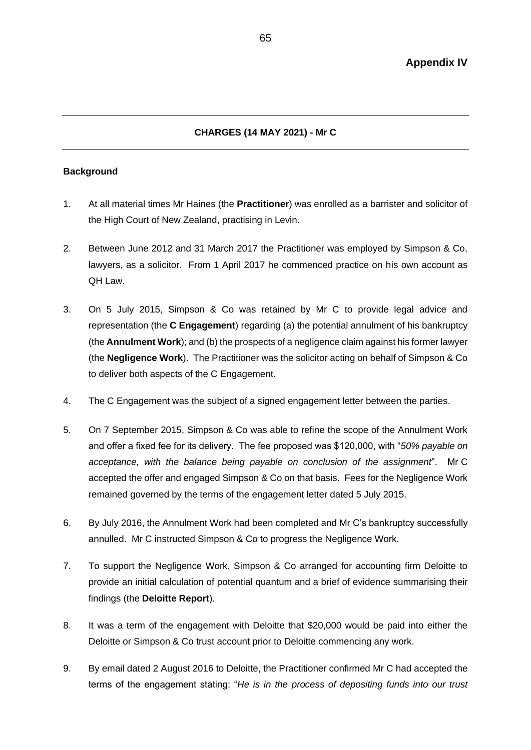#### **CHARGES (14 MAY 2021) - Mr C**

#### **Background**

- 1. At all material times Mr Haines (the **Practitioner**) was enrolled as a barrister and solicitor of the High Court of New Zealand, practising in Levin.
- 2. Between June 2012 and 31 March 2017 the Practitioner was employed by Simpson & Co, lawyers, as a solicitor. From 1 April 2017 he commenced practice on his own account as QH Law.
- 3. On 5 July 2015, Simpson & Co was retained by Mr C to provide legal advice and representation (the **C Engagement**) regarding (a) the potential annulment of his bankruptcy (the **Annulment Work**); and (b) the prospects of a negligence claim against his former lawyer (the **Negligence Work**). The Practitioner was the solicitor acting on behalf of Simpson & Co to deliver both aspects of the C Engagement.
- 4. The C Engagement was the subject of a signed engagement letter between the parties.
- 5. On 7 September 2015, Simpson & Co was able to refine the scope of the Annulment Work and offer a fixed fee for its delivery. The fee proposed was \$120,000, with "*50% payable on acceptance, with the balance being payable on conclusion of the assignment*". Mr C accepted the offer and engaged Simpson & Co on that basis. Fees for the Negligence Work remained governed by the terms of the engagement letter dated 5 July 2015.
- 6. By July 2016, the Annulment Work had been completed and Mr C's bankruptcy successfully annulled. Mr C instructed Simpson & Co to progress the Negligence Work.
- 7. To support the Negligence Work, Simpson & Co arranged for accounting firm Deloitte to provide an initial calculation of potential quantum and a brief of evidence summarising their findings (the **Deloitte Report**).
- 8. It was a term of the engagement with Deloitte that \$20,000 would be paid into either the Deloitte or Simpson & Co trust account prior to Deloitte commencing any work.
- 9. By email dated 2 August 2016 to Deloitte, the Practitioner confirmed Mr C had accepted the terms of the engagement stating: "*He is in the process of depositing funds into our trust*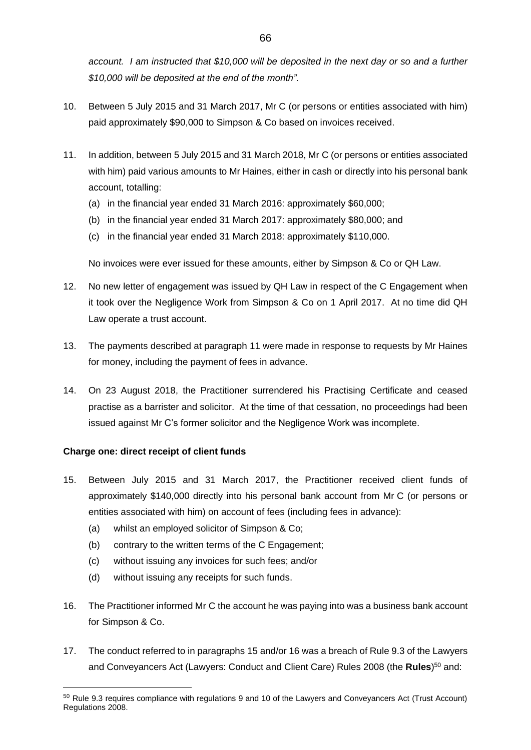*account. I am instructed that \$10,000 will be deposited in the next day or so and a further \$10,000 will be deposited at the end of the month".*

- 10. Between 5 July 2015 and 31 March 2017, Mr C (or persons or entities associated with him) paid approximately \$90,000 to Simpson & Co based on invoices received.
- 11. In addition, between 5 July 2015 and 31 March 2018, Mr C (or persons or entities associated with him) paid various amounts to Mr Haines, either in cash or directly into his personal bank account, totalling:
	- (a) in the financial year ended 31 March 2016: approximately \$60,000;
	- (b) in the financial year ended 31 March 2017: approximately \$80,000; and
	- (c) in the financial year ended 31 March 2018: approximately \$110,000.

No invoices were ever issued for these amounts, either by Simpson & Co or QH Law.

- 12. No new letter of engagement was issued by QH Law in respect of the C Engagement when it took over the Negligence Work from Simpson & Co on 1 April 2017. At no time did QH Law operate a trust account.
- 13. The payments described at paragraph 11 were made in response to requests by Mr Haines for money, including the payment of fees in advance.
- 14. On 23 August 2018, the Practitioner surrendered his Practising Certificate and ceased practise as a barrister and solicitor. At the time of that cessation, no proceedings had been issued against Mr C's former solicitor and the Negligence Work was incomplete.

#### **Charge one: direct receipt of client funds**

- 15. Between July 2015 and 31 March 2017, the Practitioner received client funds of approximately \$140,000 directly into his personal bank account from Mr C (or persons or entities associated with him) on account of fees (including fees in advance):
	- (a) whilst an employed solicitor of Simpson & Co;
	- (b) contrary to the written terms of the C Engagement;
	- (c) without issuing any invoices for such fees; and/or
	- (d) without issuing any receipts for such funds.
- 16. The Practitioner informed Mr C the account he was paying into was a business bank account for Simpson & Co.
- 17. The conduct referred to in paragraphs 15 and/or 16 was a breach of Rule 9.3 of the Lawyers and Conveyancers Act (Lawyers: Conduct and Client Care) Rules 2008 (the **Rules**) <sup>50</sup> and:

<sup>50</sup> Rule 9.3 requires compliance with regulations 9 and 10 of the Lawyers and Conveyancers Act (Trust Account) Regulations 2008.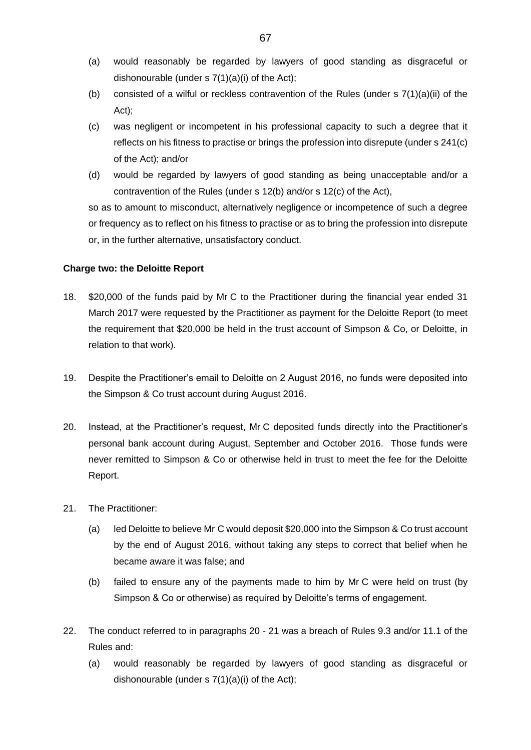- (a) would reasonably be regarded by lawyers of good standing as disgraceful or dishonourable (under s 7(1)(a)(i) of the Act);
- (b) consisted of a wilful or reckless contravention of the Rules (under s 7(1)(a)(ii) of the Act);
- (c) was negligent or incompetent in his professional capacity to such a degree that it reflects on his fitness to practise or brings the profession into disrepute (under s 241(c) of the Act); and/or
- (d) would be regarded by lawyers of good standing as being unacceptable and/or a contravention of the Rules (under s 12(b) and/or s 12(c) of the Act),

so as to amount to misconduct, alternatively negligence or incompetence of such a degree or frequency as to reflect on his fitness to practise or as to bring the profession into disrepute or, in the further alternative, unsatisfactory conduct.

#### **Charge two: the Deloitte Report**

- 18. \$20,000 of the funds paid by Mr C to the Practitioner during the financial year ended 31 March 2017 were requested by the Practitioner as payment for the Deloitte Report (to meet the requirement that \$20,000 be held in the trust account of Simpson & Co, or Deloitte, in relation to that work).
- 19. Despite the Practitioner's email to Deloitte on 2 August 2016, no funds were deposited into the Simpson & Co trust account during August 2016.
- 20. Instead, at the Practitioner's request, Mr C deposited funds directly into the Practitioner's personal bank account during August, September and October 2016. Those funds were never remitted to Simpson & Co or otherwise held in trust to meet the fee for the Deloitte Report.
- 21. The Practitioner:
	- (a) led Deloitte to believe Mr C would deposit \$20,000 into the Simpson & Co trust account by the end of August 2016, without taking any steps to correct that belief when he became aware it was false; and
	- (b) failed to ensure any of the payments made to him by Mr C were held on trust (by Simpson & Co or otherwise) as required by Deloitte's terms of engagement.
- 22. The conduct referred to in paragraphs 20 21 was a breach of Rules 9.3 and/or 11.1 of the Rules and:
	- (a) would reasonably be regarded by lawyers of good standing as disgraceful or dishonourable (under s 7(1)(a)(i) of the Act);